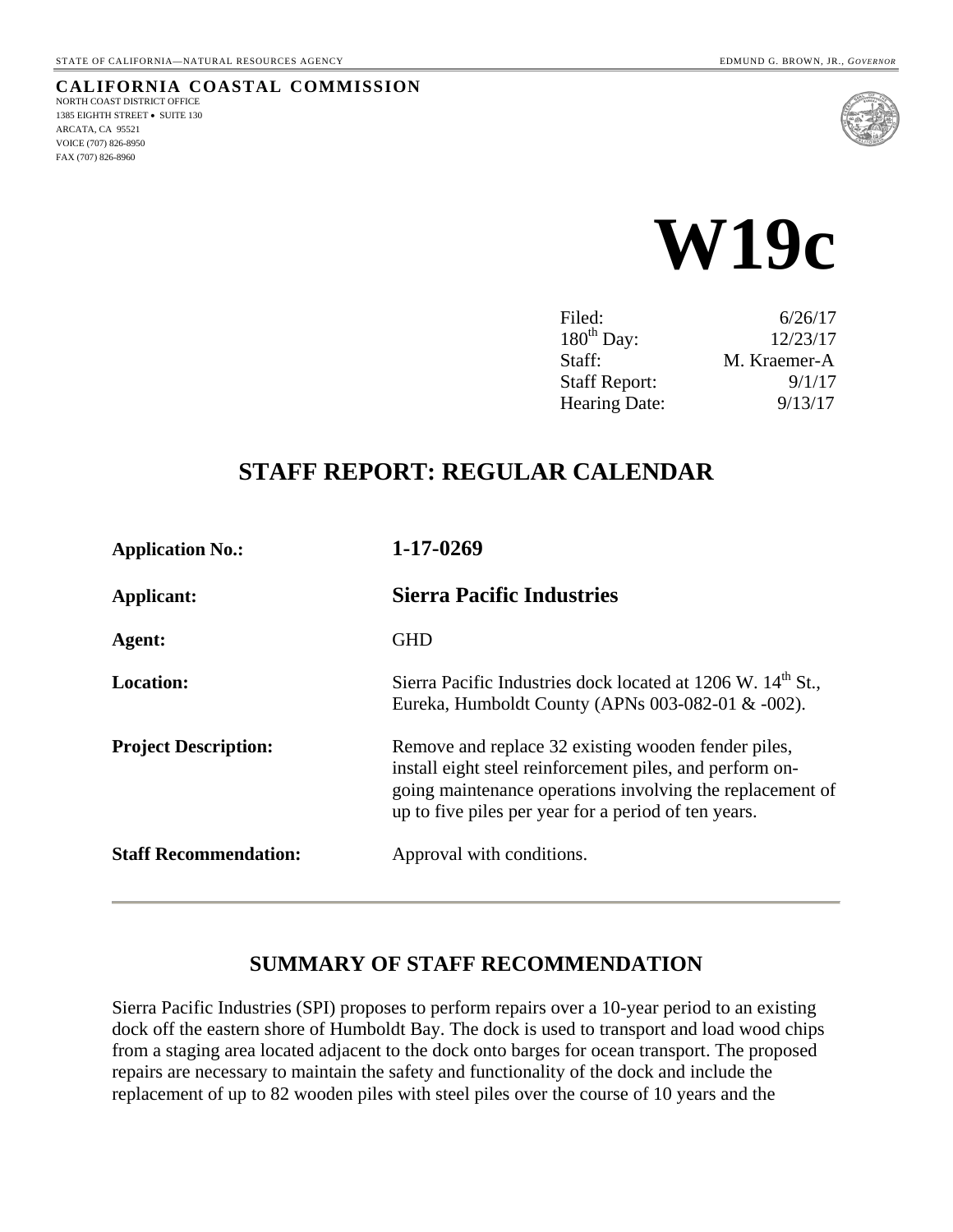#### **CALIFORNIA COASTAL COMMISSION** NORTH COAST DISTRICT OFFICE 1385 EIGHTH STREET • SUITE 130 ARCATA, CA 95521 VOICE (707) 826-8950 FAX (707) 826-8960





| Filed:                 | 6/26/17      |
|------------------------|--------------|
| $180^{\text{th}}$ Day: | 12/23/17     |
| Staff:                 | M. Kraemer-A |
| <b>Staff Report:</b>   | 9/1/17       |
| Hearing Date:          | 9/13/17      |

# **STAFF REPORT: REGULAR CALENDAR**

| <b>Application No.:</b>      | 1-17-0269                                                                                                                                                                                                                            |
|------------------------------|--------------------------------------------------------------------------------------------------------------------------------------------------------------------------------------------------------------------------------------|
| Applicant:                   | <b>Sierra Pacific Industries</b>                                                                                                                                                                                                     |
| Agent:                       | <b>GHD</b>                                                                                                                                                                                                                           |
| <b>Location:</b>             | Sierra Pacific Industries dock located at 1206 W. 14 <sup>th</sup> St.,<br>Eureka, Humboldt County (APNs 003-082-01 $&$ -002).                                                                                                       |
| <b>Project Description:</b>  | Remove and replace 32 existing wooden fender piles,<br>install eight steel reinforcement piles, and perform on-<br>going maintenance operations involving the replacement of<br>up to five piles per year for a period of ten years. |
| <b>Staff Recommendation:</b> | Approval with conditions.                                                                                                                                                                                                            |

# **SUMMARY OF STAFF RECOMMENDATION**

Sierra Pacific Industries (SPI) proposes to perform repairs over a 10-year period to an existing dock off the eastern shore of Humboldt Bay. The dock is used to transport and load wood chips from a staging area located adjacent to the dock onto barges for ocean transport. The proposed repairs are necessary to maintain the safety and functionality of the dock and include the replacement of up to 82 wooden piles with steel piles over the course of 10 years and the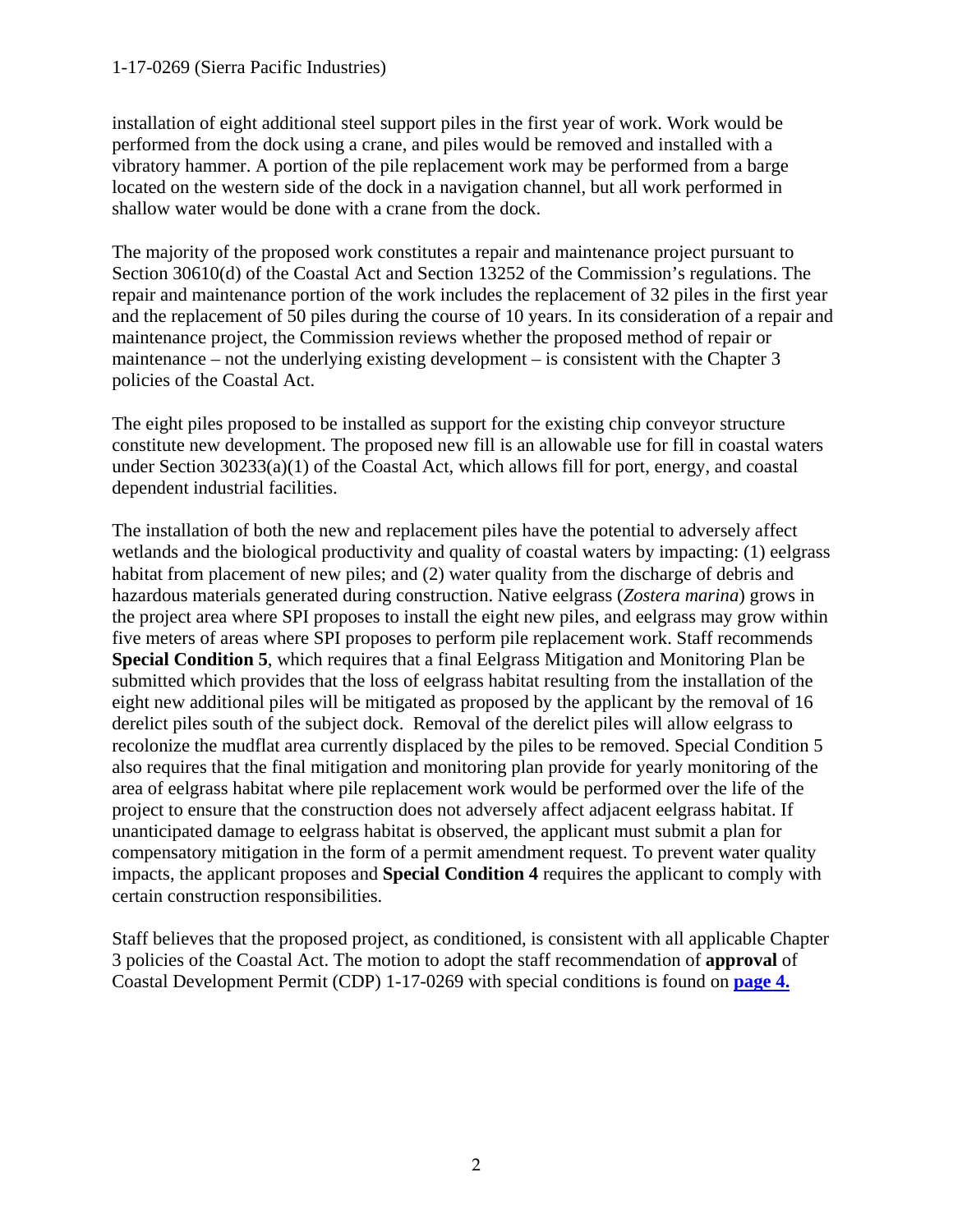#### 1-17-0269 (Sierra Pacific Industries)

installation of eight additional steel support piles in the first year of work. Work would be performed from the dock using a crane, and piles would be removed and installed with a vibratory hammer. A portion of the pile replacement work may be performed from a barge located on the western side of the dock in a navigation channel, but all work performed in shallow water would be done with a crane from the dock.

The majority of the proposed work constitutes a repair and maintenance project pursuant to Section 30610(d) of the Coastal Act and Section 13252 of the Commission's regulations. The repair and maintenance portion of the work includes the replacement of 32 piles in the first year and the replacement of 50 piles during the course of 10 years. In its consideration of a repair and maintenance project, the Commission reviews whether the proposed method of repair or maintenance – not the underlying existing development – is consistent with the Chapter 3 policies of the Coastal Act.

The eight piles proposed to be installed as support for the existing chip conveyor structure constitute new development. The proposed new fill is an allowable use for fill in coastal waters under Section 30233(a)(1) of the Coastal Act, which allows fill for port, energy, and coastal dependent industrial facilities.

The installation of both the new and replacement piles have the potential to adversely affect wetlands and the biological productivity and quality of coastal waters by impacting: (1) eelgrass habitat from placement of new piles; and (2) water quality from the discharge of debris and hazardous materials generated during construction. Native eelgrass (*Zostera marina*) grows in the project area where SPI proposes to install the eight new piles, and eelgrass may grow within five meters of areas where SPI proposes to perform pile replacement work. Staff recommends **Special Condition 5**, which requires that a final Eelgrass Mitigation and Monitoring Plan be submitted which provides that the loss of eelgrass habitat resulting from the installation of the eight new additional piles will be mitigated as proposed by the applicant by the removal of 16 derelict piles south of the subject dock. Removal of the derelict piles will allow eelgrass to recolonize the mudflat area currently displaced by the piles to be removed. Special Condition 5 also requires that the final mitigation and monitoring plan provide for yearly monitoring of the area of eelgrass habitat where pile replacement work would be performed over the life of the project to ensure that the construction does not adversely affect adjacent eelgrass habitat. If unanticipated damage to eelgrass habitat is observed, the applicant must submit a plan for compensatory mitigation in the form of a permit amendment request. To prevent water quality impacts, the applicant proposes and **Special Condition 4** requires the applicant to comply with certain construction responsibilities.

Staff believes that the proposed project, as conditioned, is consistent with all applicable Chapter 3 policies of the Coastal Act. The motion to adopt the staff recommendation of **approval** of Coastal Development Permit (CDP) 1-17-0269 with special conditions is found on **[page 4.](#page-3-0)**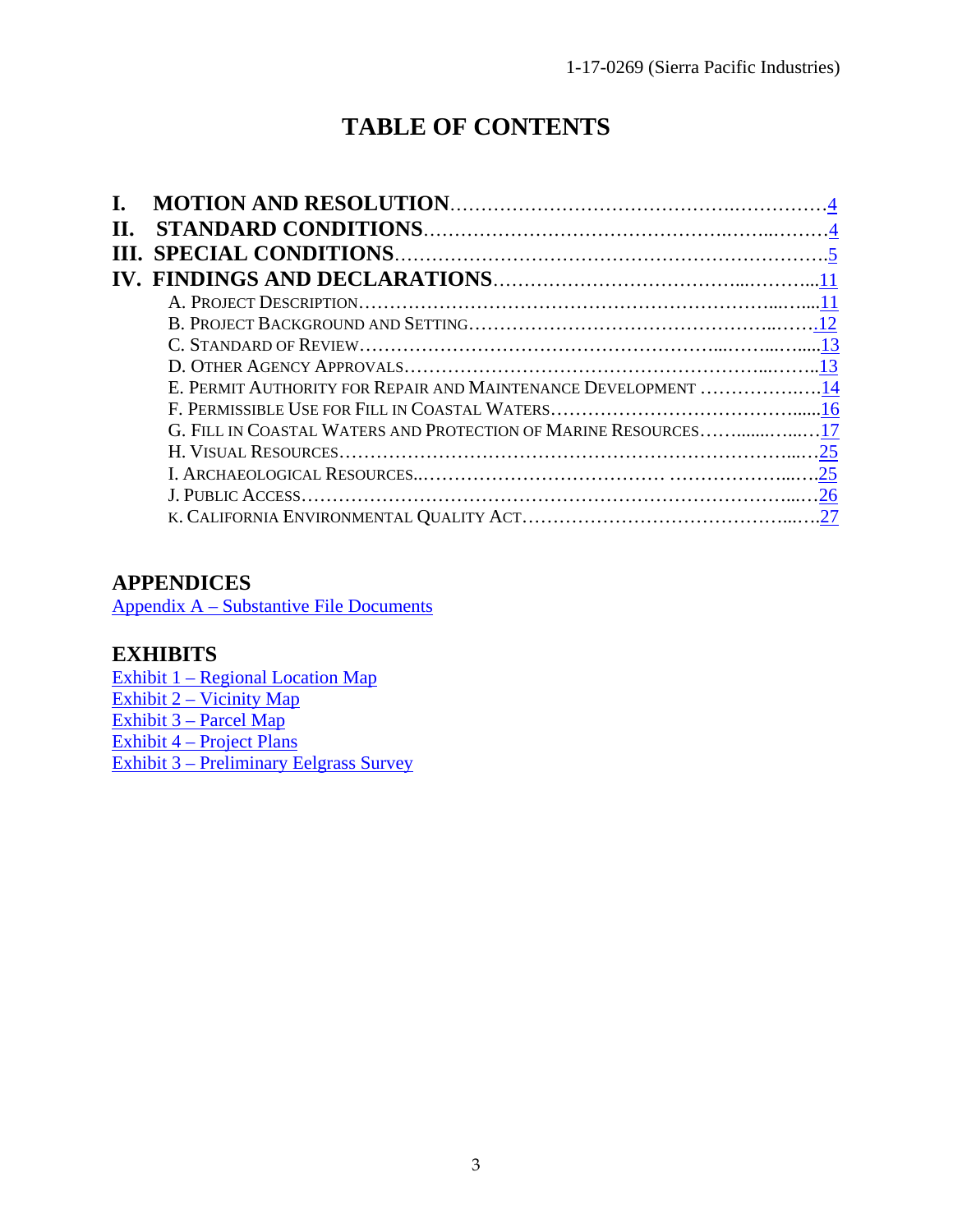# **TABLE OF CONTENTS**

| П. |                                                                |  |
|----|----------------------------------------------------------------|--|
|    |                                                                |  |
|    |                                                                |  |
|    |                                                                |  |
|    |                                                                |  |
|    |                                                                |  |
|    |                                                                |  |
|    | E. PERMIT AUTHORITY FOR REPAIR AND MAINTENANCE DEVELOPMENT 14  |  |
|    |                                                                |  |
|    | G. FILL IN COASTAL WATERS AND PROTECTION OF MARINE RESOURCES17 |  |
|    |                                                                |  |
|    |                                                                |  |
|    |                                                                |  |
|    |                                                                |  |

# **APPENDICES**

[Appendix A – Substantive File Documents](#page-27-0) 

# **EXHIBITS**

[Exhibit 1 – Regional Location Map](https://documents.coastal.ca.gov/reports/2017/9/w19c/w19c-9-2017-exhibits.pdf) [Exhibit 2 – Vicinity Map](https://documents.coastal.ca.gov/reports/2017/9/w19c/w19c-9-2017-exhibits.pdf) [Exhibit 3 – Parcel Map](https://documents.coastal.ca.gov/reports/2017/9/w19c/w19c-9-2017-exhibits.pdf) [Exhibit 4 – Project Plans](https://documents.coastal.ca.gov/reports/2017/9/w19c/w19c-9-2017-exhibits.pdf) [Exhibit 3 – Preliminary Eelgrass Survey](https://documents.coastal.ca.gov/reports/2017/9/w19c/w19c-9-2017-exhibits.pdf)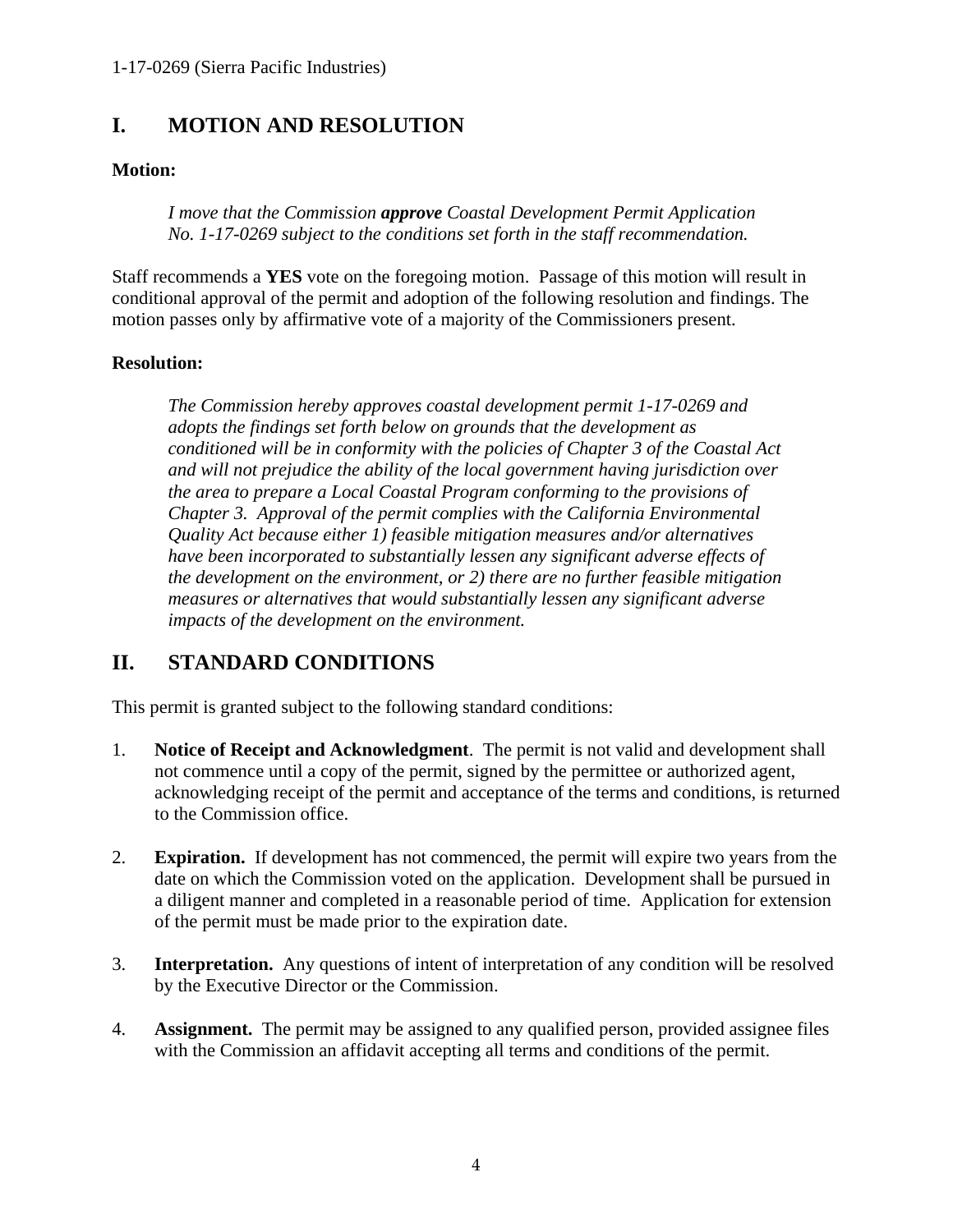# <span id="page-3-0"></span>**I. MOTION AND RESOLUTION**

#### **Motion:**

*I move that the Commission approve Coastal Development Permit Application No. 1-17-0269 subject to the conditions set forth in the staff recommendation.* 

Staff recommends a **YES** vote on the foregoing motion. Passage of this motion will result in conditional approval of the permit and adoption of the following resolution and findings. The motion passes only by affirmative vote of a majority of the Commissioners present.

#### **Resolution:**

*The Commission hereby approves coastal development permit 1-17-0269 and adopts the findings set forth below on grounds that the development as conditioned will be in conformity with the policies of Chapter 3 of the Coastal Act and will not prejudice the ability of the local government having jurisdiction over the area to prepare a Local Coastal Program conforming to the provisions of Chapter 3. Approval of the permit complies with the California Environmental Quality Act because either 1) feasible mitigation measures and/or alternatives*  have been incorporated to substantially lessen any significant adverse effects of *the development on the environment, or 2) there are no further feasible mitigation measures or alternatives that would substantially lessen any significant adverse impacts of the development on the environment.* 

# <span id="page-3-1"></span>**II. STANDARD CONDITIONS**

This permit is granted subject to the following standard conditions:

- 1. **Notice of Receipt and Acknowledgment**. The permit is not valid and development shall not commence until a copy of the permit, signed by the permittee or authorized agent, acknowledging receipt of the permit and acceptance of the terms and conditions, is returned to the Commission office.
- 2. **Expiration.** If development has not commenced, the permit will expire two years from the date on which the Commission voted on the application. Development shall be pursued in a diligent manner and completed in a reasonable period of time. Application for extension of the permit must be made prior to the expiration date.
- 3. **Interpretation.** Any questions of intent of interpretation of any condition will be resolved by the Executive Director or the Commission.
- 4. **Assignment.** The permit may be assigned to any qualified person, provided assignee files with the Commission an affidavit accepting all terms and conditions of the permit.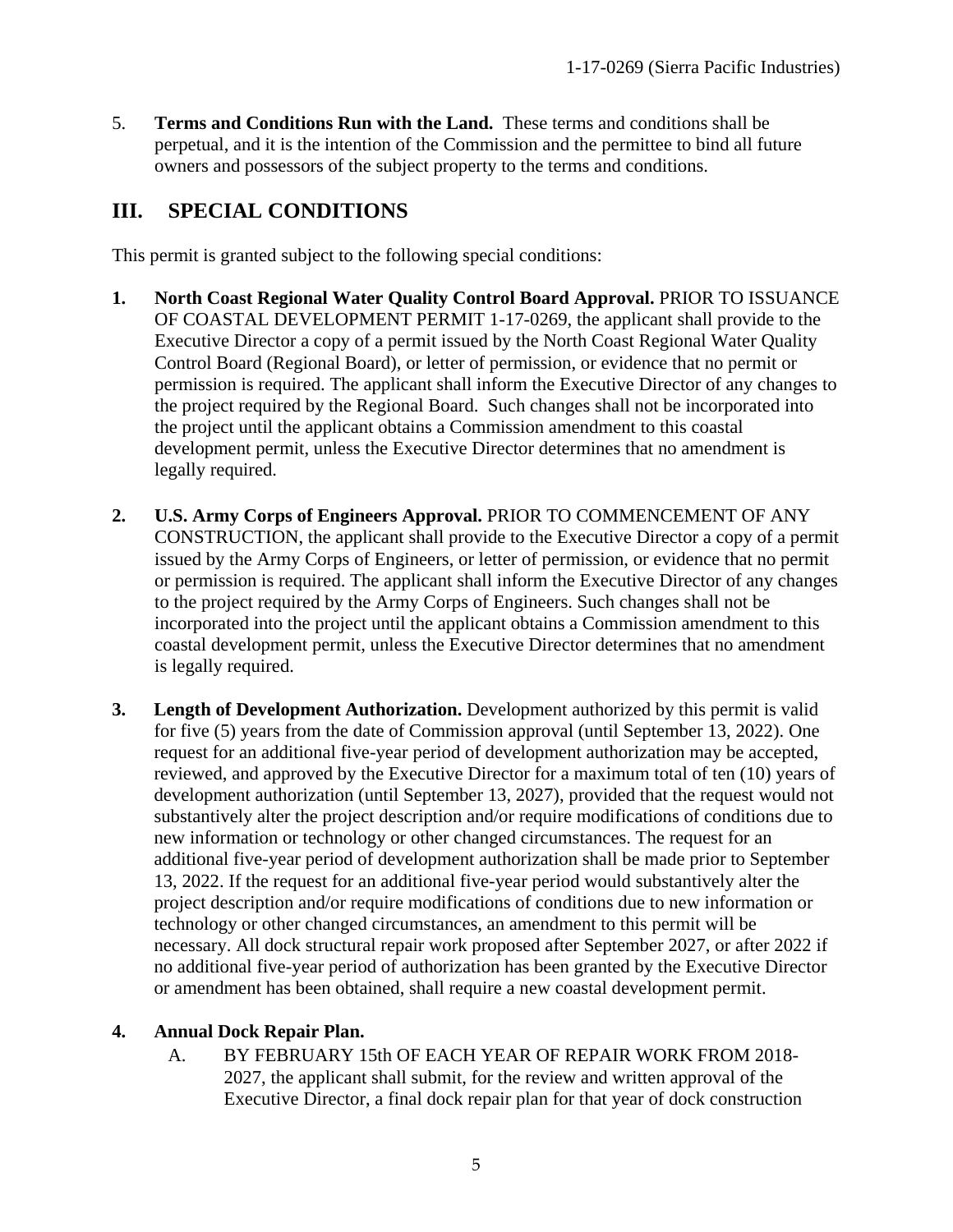5. **Terms and Conditions Run with the Land.** These terms and conditions shall be perpetual, and it is the intention of the Commission and the permittee to bind all future owners and possessors of the subject property to the terms and conditions.

# <span id="page-4-0"></span>**III. SPECIAL CONDITIONS**

This permit is granted subject to the following special conditions:

- **1. North Coast Regional Water Quality Control Board Approval.** PRIOR TO ISSUANCE OF COASTAL DEVELOPMENT PERMIT 1-17-0269, the applicant shall provide to the Executive Director a copy of a permit issued by the North Coast Regional Water Quality Control Board (Regional Board), or letter of permission, or evidence that no permit or permission is required. The applicant shall inform the Executive Director of any changes to the project required by the Regional Board. Such changes shall not be incorporated into the project until the applicant obtains a Commission amendment to this coastal development permit, unless the Executive Director determines that no amendment is legally required.
- **2. U.S. Army Corps of Engineers Approval.** PRIOR TO COMMENCEMENT OF ANY CONSTRUCTION, the applicant shall provide to the Executive Director a copy of a permit issued by the Army Corps of Engineers, or letter of permission, or evidence that no permit or permission is required. The applicant shall inform the Executive Director of any changes to the project required by the Army Corps of Engineers. Such changes shall not be incorporated into the project until the applicant obtains a Commission amendment to this coastal development permit, unless the Executive Director determines that no amendment is legally required.
- **3. Length of Development Authorization.** Development authorized by this permit is valid for five (5) years from the date of Commission approval (until September 13, 2022). One request for an additional five-year period of development authorization may be accepted, reviewed, and approved by the Executive Director for a maximum total of ten (10) years of development authorization (until September 13, 2027), provided that the request would not substantively alter the project description and/or require modifications of conditions due to new information or technology or other changed circumstances. The request for an additional five-year period of development authorization shall be made prior to September 13, 2022. If the request for an additional five-year period would substantively alter the project description and/or require modifications of conditions due to new information or technology or other changed circumstances, an amendment to this permit will be necessary. All dock structural repair work proposed after September 2027, or after 2022 if no additional five-year period of authorization has been granted by the Executive Director or amendment has been obtained, shall require a new coastal development permit.

### **4. Annual Dock Repair Plan.**

A. BY FEBRUARY 15th OF EACH YEAR OF REPAIR WORK FROM 2018- 2027, the applicant shall submit, for the review and written approval of the Executive Director, a final dock repair plan for that year of dock construction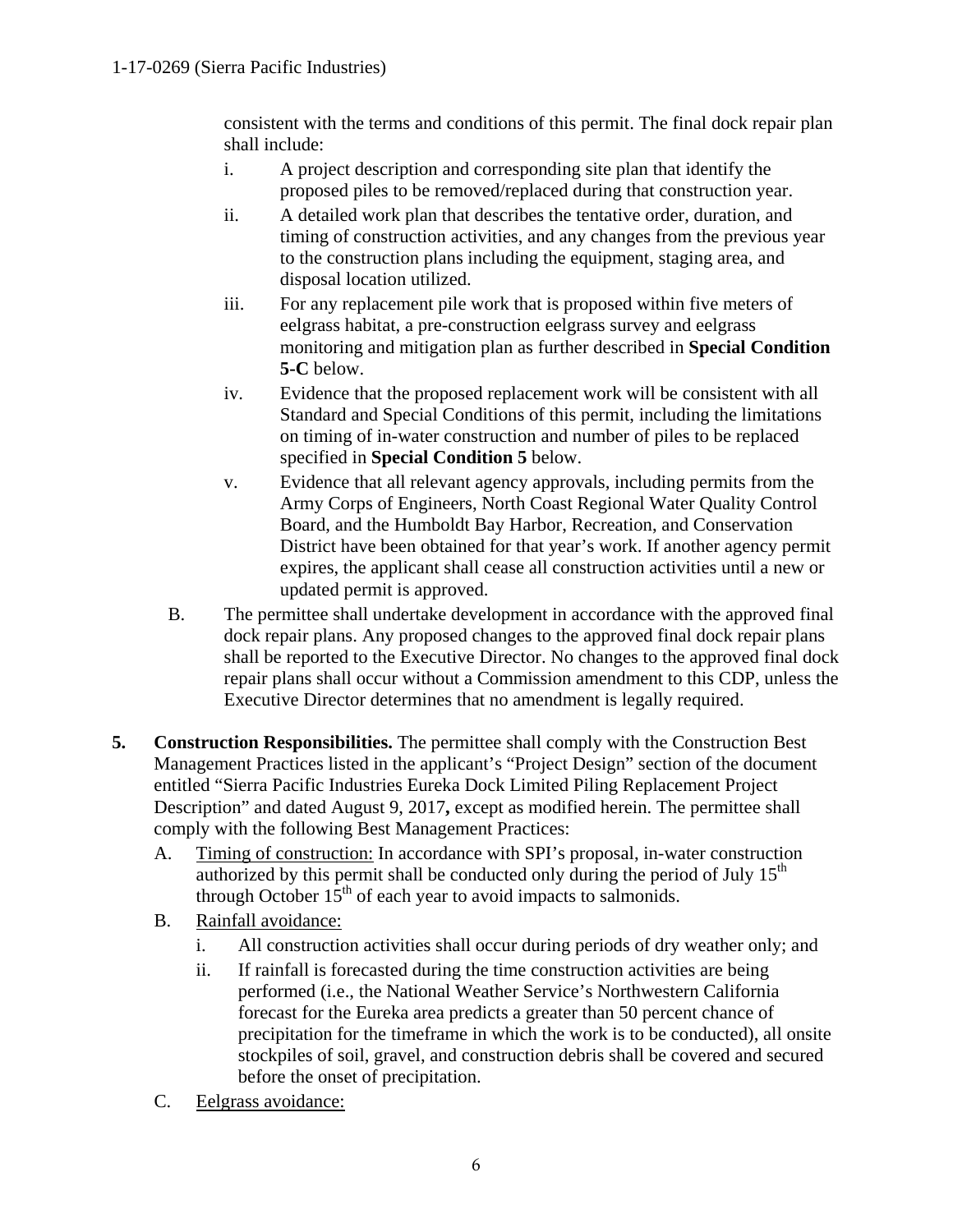consistent with the terms and conditions of this permit. The final dock repair plan shall include:

- i. A project description and corresponding site plan that identify the proposed piles to be removed/replaced during that construction year.
- ii. A detailed work plan that describes the tentative order, duration, and timing of construction activities, and any changes from the previous year to the construction plans including the equipment, staging area, and disposal location utilized.
- iii. For any replacement pile work that is proposed within five meters of eelgrass habitat, a pre-construction eelgrass survey and eelgrass monitoring and mitigation plan as further described in **Special Condition 5-C** below.
- iv. Evidence that the proposed replacement work will be consistent with all Standard and Special Conditions of this permit, including the limitations on timing of in-water construction and number of piles to be replaced specified in **Special Condition 5** below.
- v. Evidence that all relevant agency approvals, including permits from the Army Corps of Engineers, North Coast Regional Water Quality Control Board, and the Humboldt Bay Harbor, Recreation, and Conservation District have been obtained for that year's work. If another agency permit expires, the applicant shall cease all construction activities until a new or updated permit is approved.
- B. The permittee shall undertake development in accordance with the approved final dock repair plans. Any proposed changes to the approved final dock repair plans shall be reported to the Executive Director. No changes to the approved final dock repair plans shall occur without a Commission amendment to this CDP, unless the Executive Director determines that no amendment is legally required.
- **5. Construction Responsibilities.** The permittee shall comply with the Construction Best Management Practices listed in the applicant's "Project Design" section of the document entitled "Sierra Pacific Industries Eureka Dock Limited Piling Replacement Project Description" and dated August 9, 2017**,** except as modified herein. The permittee shall comply with the following Best Management Practices:
	- A. Timing of construction: In accordance with SPI's proposal, in-water construction authorized by this permit shall be conducted only during the period of July  $15<sup>th</sup>$ through October  $15<sup>th</sup>$  of each year to avoid impacts to salmonids.
	- B. Rainfall avoidance:
		- i. All construction activities shall occur during periods of dry weather only; and
		- ii. If rainfall is forecasted during the time construction activities are being performed (i.e., the National Weather Service's Northwestern California forecast for the Eureka area predicts a greater than 50 percent chance of precipitation for the timeframe in which the work is to be conducted), all onsite stockpiles of soil, gravel, and construction debris shall be covered and secured before the onset of precipitation.
	- C. Eelgrass avoidance: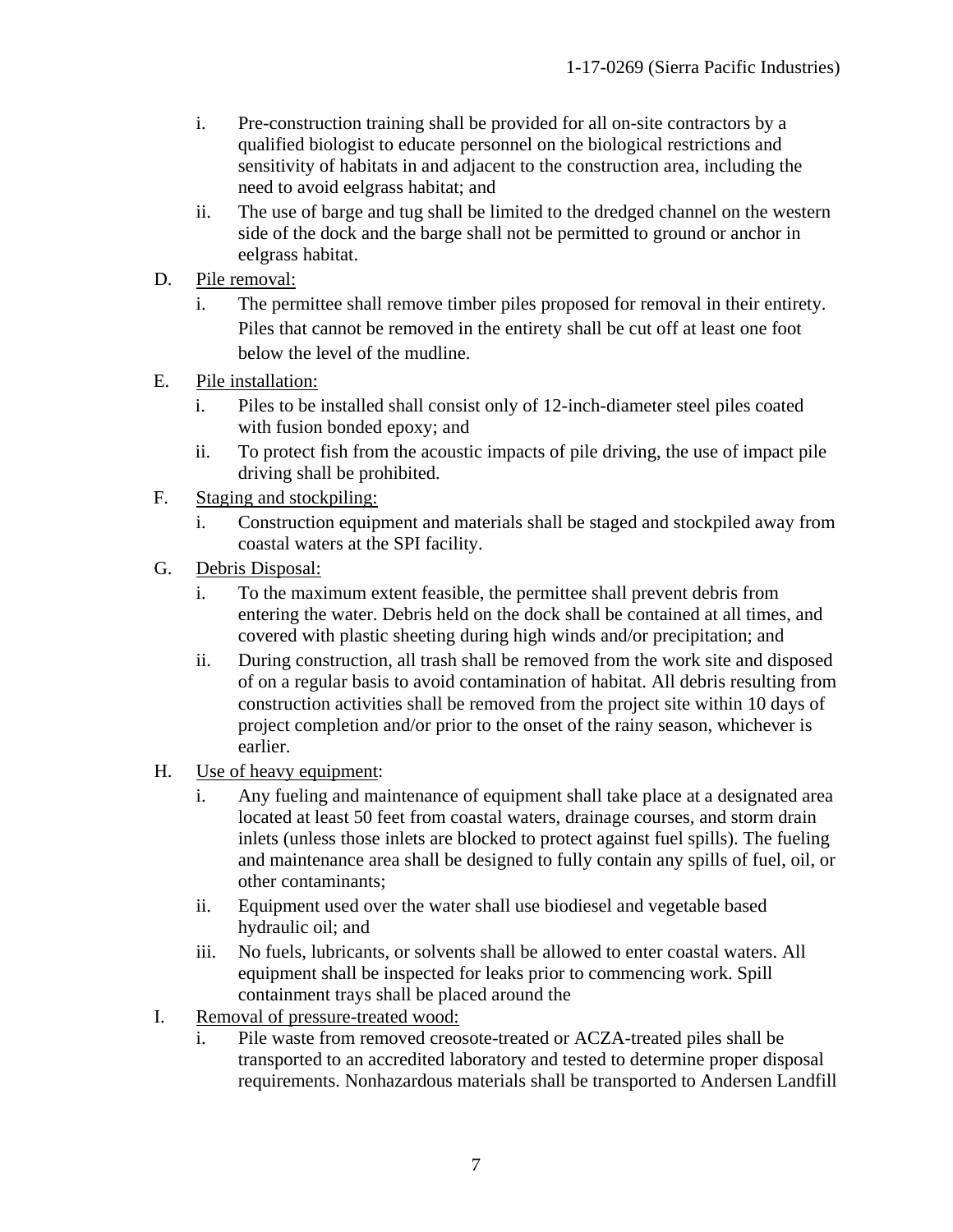- i. Pre-construction training shall be provided for all on-site contractors by a qualified biologist to educate personnel on the biological restrictions and sensitivity of habitats in and adjacent to the construction area, including the need to avoid eelgrass habitat; and
- ii. The use of barge and tug shall be limited to the dredged channel on the western side of the dock and the barge shall not be permitted to ground or anchor in eelgrass habitat.
- D. Pile removal:
	- i. The permittee shall remove timber piles proposed for removal in their entirety. Piles that cannot be removed in the entirety shall be cut off at least one foot below the level of the mudline.
- E. Pile installation:
	- i. Piles to be installed shall consist only of 12-inch-diameter steel piles coated with fusion bonded epoxy; and
	- ii. To protect fish from the acoustic impacts of pile driving, the use of impact pile driving shall be prohibited.
- F. Staging and stockpiling:
	- i. Construction equipment and materials shall be staged and stockpiled away from coastal waters at the SPI facility.
- G. Debris Disposal:
	- i. To the maximum extent feasible, the permittee shall prevent debris from entering the water. Debris held on the dock shall be contained at all times, and covered with plastic sheeting during high winds and/or precipitation; and
	- ii. During construction, all trash shall be removed from the work site and disposed of on a regular basis to avoid contamination of habitat. All debris resulting from construction activities shall be removed from the project site within 10 days of project completion and/or prior to the onset of the rainy season, whichever is earlier.
- H. Use of heavy equipment:
	- i. Any fueling and maintenance of equipment shall take place at a designated area located at least 50 feet from coastal waters, drainage courses, and storm drain inlets (unless those inlets are blocked to protect against fuel spills). The fueling and maintenance area shall be designed to fully contain any spills of fuel, oil, or other contaminants;
	- ii. Equipment used over the water shall use biodiesel and vegetable based hydraulic oil; and
	- iii. No fuels, lubricants, or solvents shall be allowed to enter coastal waters. All equipment shall be inspected for leaks prior to commencing work. Spill containment trays shall be placed around the
- I. Removal of pressure-treated wood:
	- i. Pile waste from removed creosote-treated or ACZA-treated piles shall be transported to an accredited laboratory and tested to determine proper disposal requirements. Nonhazardous materials shall be transported to Andersen Landfill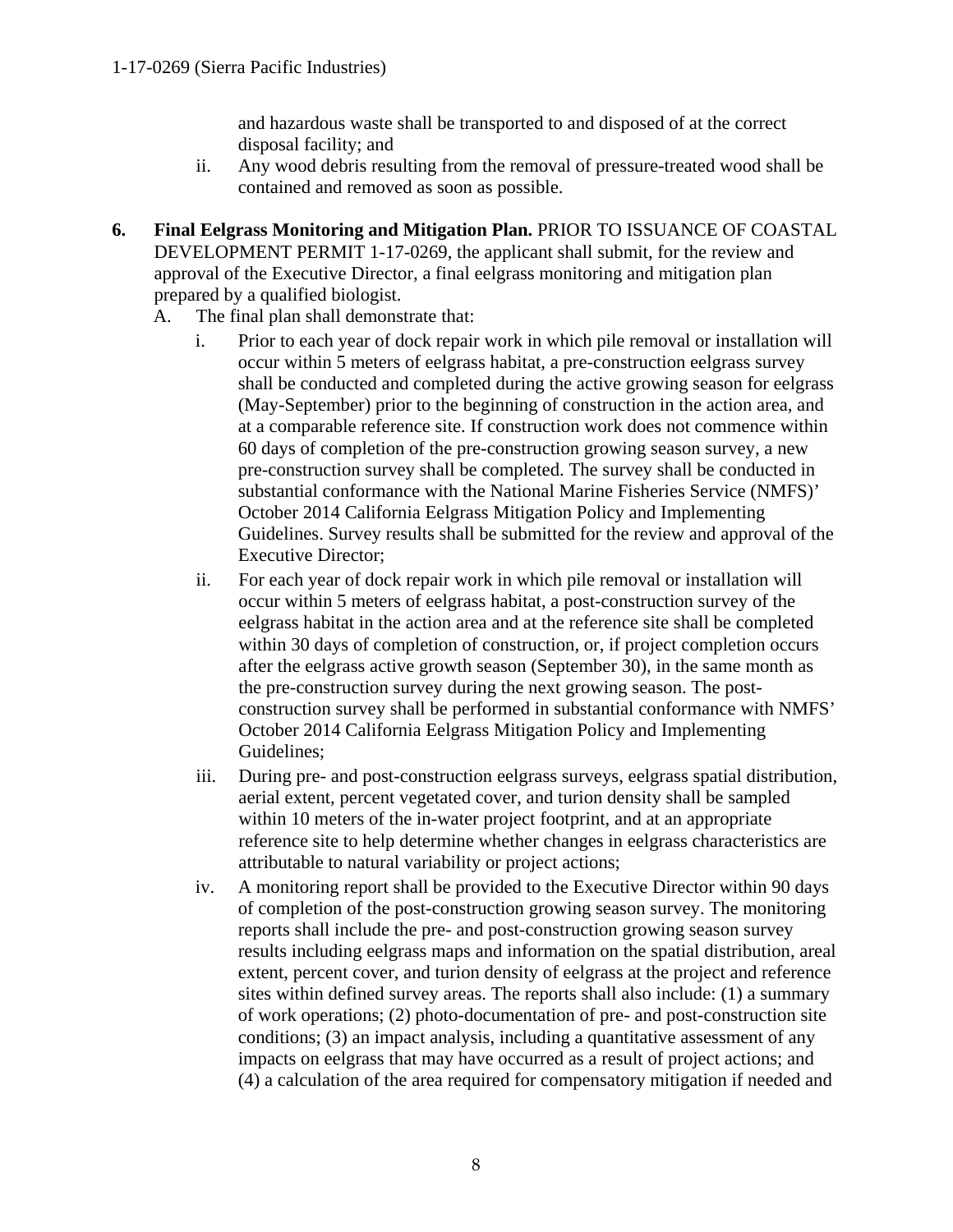and hazardous waste shall be transported to and disposed of at the correct disposal facility; and

- ii. Any wood debris resulting from the removal of pressure-treated wood shall be contained and removed as soon as possible.
- **6. Final Eelgrass Monitoring and Mitigation Plan.** PRIOR TO ISSUANCE OF COASTAL DEVELOPMENT PERMIT 1-17-0269, the applicant shall submit, for the review and approval of the Executive Director, a final eelgrass monitoring and mitigation plan prepared by a qualified biologist.
	- A. The final plan shall demonstrate that:
		- i. Prior to each year of dock repair work in which pile removal or installation will occur within 5 meters of eelgrass habitat, a pre-construction eelgrass survey shall be conducted and completed during the active growing season for eelgrass (May-September) prior to the beginning of construction in the action area, and at a comparable reference site. If construction work does not commence within 60 days of completion of the pre-construction growing season survey, a new pre-construction survey shall be completed. The survey shall be conducted in substantial conformance with the National Marine Fisheries Service (NMFS)' October 2014 California Eelgrass Mitigation Policy and Implementing Guidelines. Survey results shall be submitted for the review and approval of the Executive Director;
		- ii. For each year of dock repair work in which pile removal or installation will occur within 5 meters of eelgrass habitat, a post-construction survey of the eelgrass habitat in the action area and at the reference site shall be completed within 30 days of completion of construction, or, if project completion occurs after the eelgrass active growth season (September 30), in the same month as the pre-construction survey during the next growing season. The postconstruction survey shall be performed in substantial conformance with NMFS' October 2014 California Eelgrass Mitigation Policy and Implementing Guidelines;
		- iii. During pre- and post-construction eelgrass surveys, eelgrass spatial distribution, aerial extent, percent vegetated cover, and turion density shall be sampled within 10 meters of the in-water project footprint, and at an appropriate reference site to help determine whether changes in eelgrass characteristics are attributable to natural variability or project actions;
		- iv. A monitoring report shall be provided to the Executive Director within 90 days of completion of the post-construction growing season survey. The monitoring reports shall include the pre- and post-construction growing season survey results including eelgrass maps and information on the spatial distribution, areal extent, percent cover, and turion density of eelgrass at the project and reference sites within defined survey areas. The reports shall also include: (1) a summary of work operations; (2) photo-documentation of pre- and post-construction site conditions; (3) an impact analysis, including a quantitative assessment of any impacts on eelgrass that may have occurred as a result of project actions; and (4) a calculation of the area required for compensatory mitigation if needed and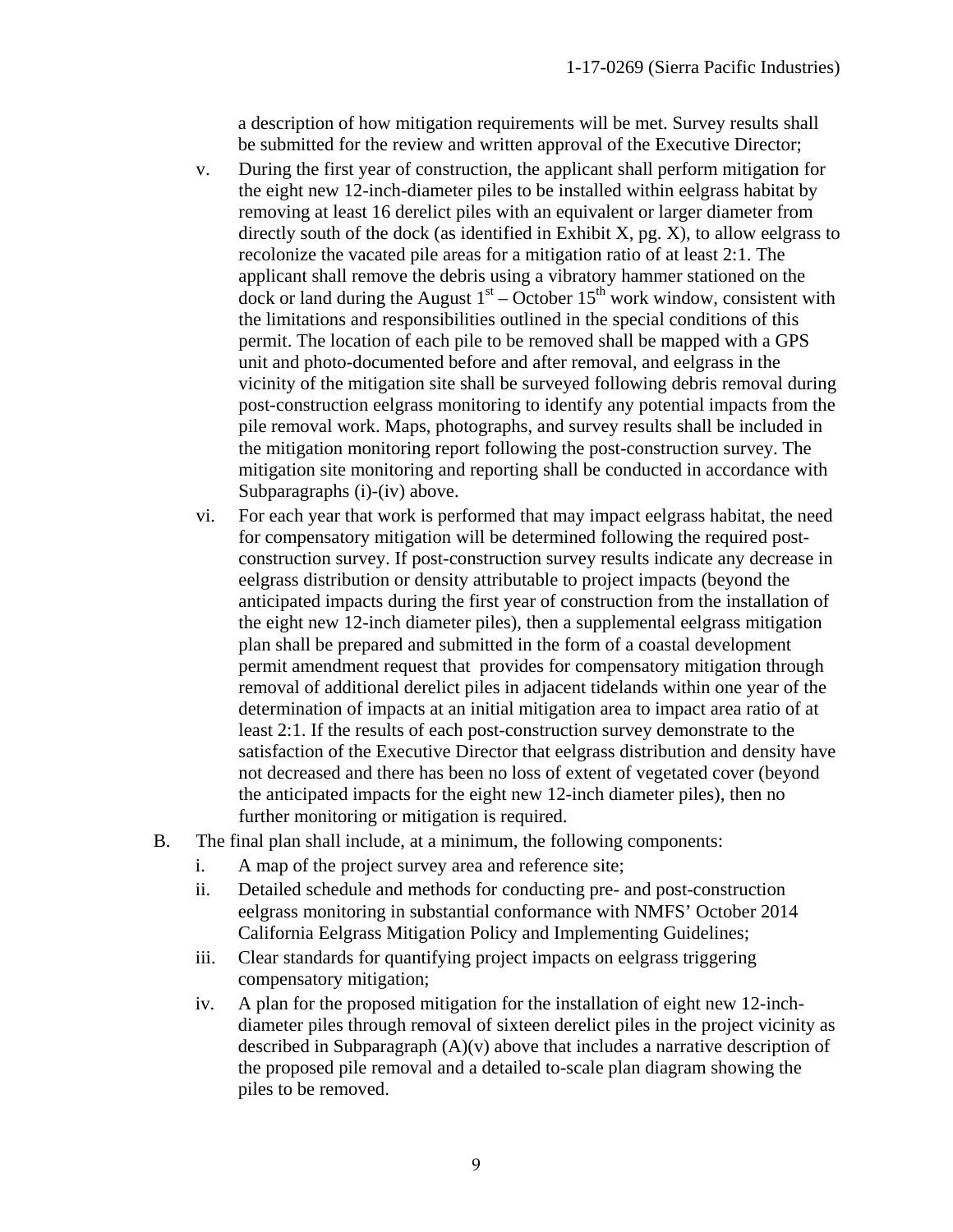a description of how mitigation requirements will be met. Survey results shall be submitted for the review and written approval of the Executive Director;

- v. During the first year of construction, the applicant shall perform mitigation for the eight new 12-inch-diameter piles to be installed within eelgrass habitat by removing at least 16 derelict piles with an equivalent or larger diameter from directly south of the dock (as identified in Exhibit X, pg.  $X$ ), to allow eelgrass to recolonize the vacated pile areas for a mitigation ratio of at least 2:1. The applicant shall remove the debris using a vibratory hammer stationed on the  $\frac{d}{dx}$  dock or land during the August  $1<sup>st</sup>$  – October  $15<sup>th</sup>$  work window, consistent with the limitations and responsibilities outlined in the special conditions of this permit. The location of each pile to be removed shall be mapped with a GPS unit and photo-documented before and after removal, and eelgrass in the vicinity of the mitigation site shall be surveyed following debris removal during post-construction eelgrass monitoring to identify any potential impacts from the pile removal work. Maps, photographs, and survey results shall be included in the mitigation monitoring report following the post-construction survey. The mitigation site monitoring and reporting shall be conducted in accordance with Subparagraphs (i)-(iv) above.
- vi. For each year that work is performed that may impact eelgrass habitat, the need for compensatory mitigation will be determined following the required postconstruction survey. If post-construction survey results indicate any decrease in eelgrass distribution or density attributable to project impacts (beyond the anticipated impacts during the first year of construction from the installation of the eight new 12-inch diameter piles), then a supplemental eelgrass mitigation plan shall be prepared and submitted in the form of a coastal development permit amendment request that provides for compensatory mitigation through removal of additional derelict piles in adjacent tidelands within one year of the determination of impacts at an initial mitigation area to impact area ratio of at least 2:1. If the results of each post-construction survey demonstrate to the satisfaction of the Executive Director that eelgrass distribution and density have not decreased and there has been no loss of extent of vegetated cover (beyond the anticipated impacts for the eight new 12-inch diameter piles), then no further monitoring or mitigation is required.
- B. The final plan shall include, at a minimum, the following components:
	- i. A map of the project survey area and reference site;
	- ii. Detailed schedule and methods for conducting pre- and post-construction eelgrass monitoring in substantial conformance with NMFS' October 2014 California Eelgrass Mitigation Policy and Implementing Guidelines;
	- iii. Clear standards for quantifying project impacts on eelgrass triggering compensatory mitigation;
	- iv. A plan for the proposed mitigation for the installation of eight new 12-inchdiameter piles through removal of sixteen derelict piles in the project vicinity as described in Subparagraph  $(A)(v)$  above that includes a narrative description of the proposed pile removal and a detailed to-scale plan diagram showing the piles to be removed.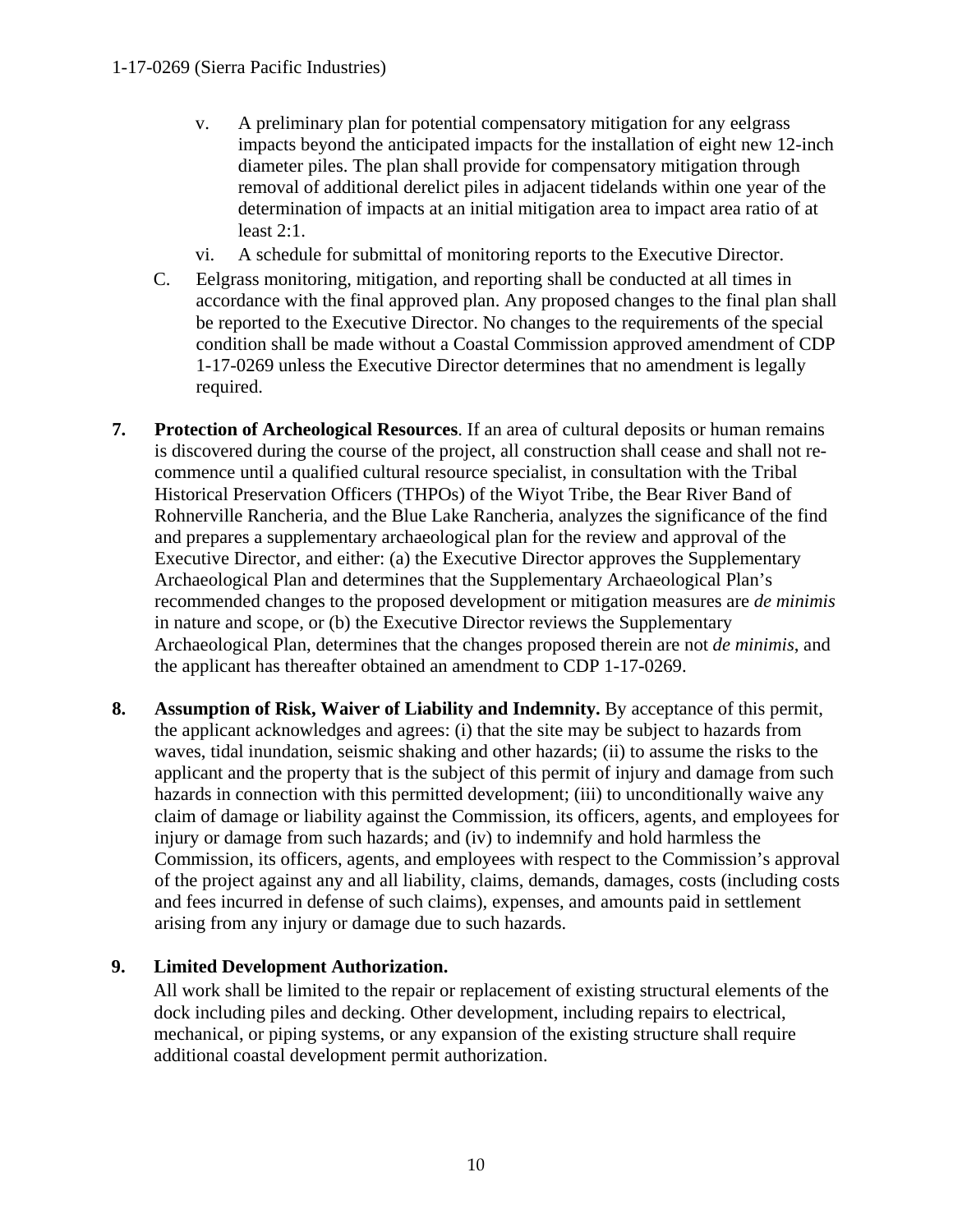- v. A preliminary plan for potential compensatory mitigation for any eelgrass impacts beyond the anticipated impacts for the installation of eight new 12-inch diameter piles. The plan shall provide for compensatory mitigation through removal of additional derelict piles in adjacent tidelands within one year of the determination of impacts at an initial mitigation area to impact area ratio of at least 2:1.
- vi. A schedule for submittal of monitoring reports to the Executive Director.
- C. Eelgrass monitoring, mitigation, and reporting shall be conducted at all times in accordance with the final approved plan. Any proposed changes to the final plan shall be reported to the Executive Director. No changes to the requirements of the special condition shall be made without a Coastal Commission approved amendment of CDP 1-17-0269 unless the Executive Director determines that no amendment is legally required.
- **7. Protection of Archeological Resources**. If an area of cultural deposits or human remains is discovered during the course of the project, all construction shall cease and shall not recommence until a qualified cultural resource specialist, in consultation with the Tribal Historical Preservation Officers (THPOs) of the Wiyot Tribe, the Bear River Band of Rohnerville Rancheria, and the Blue Lake Rancheria, analyzes the significance of the find and prepares a supplementary archaeological plan for the review and approval of the Executive Director, and either: (a) the Executive Director approves the Supplementary Archaeological Plan and determines that the Supplementary Archaeological Plan's recommended changes to the proposed development or mitigation measures are *de minimis* in nature and scope, or (b) the Executive Director reviews the Supplementary Archaeological Plan, determines that the changes proposed therein are not *de minimis*, and the applicant has thereafter obtained an amendment to CDP 1-17-0269.
- **8. Assumption of Risk, Waiver of Liability and Indemnity.** By acceptance of this permit, the applicant acknowledges and agrees: (i) that the site may be subject to hazards from waves, tidal inundation, seismic shaking and other hazards; (ii) to assume the risks to the applicant and the property that is the subject of this permit of injury and damage from such hazards in connection with this permitted development; (iii) to unconditionally waive any claim of damage or liability against the Commission, its officers, agents, and employees for injury or damage from such hazards; and (iv) to indemnify and hold harmless the Commission, its officers, agents, and employees with respect to the Commission's approval of the project against any and all liability, claims, demands, damages, costs (including costs and fees incurred in defense of such claims), expenses, and amounts paid in settlement arising from any injury or damage due to such hazards.

### **9. Limited Development Authorization.**

All work shall be limited to the repair or replacement of existing structural elements of the dock including piles and decking. Other development, including repairs to electrical, mechanical, or piping systems, or any expansion of the existing structure shall require additional coastal development permit authorization.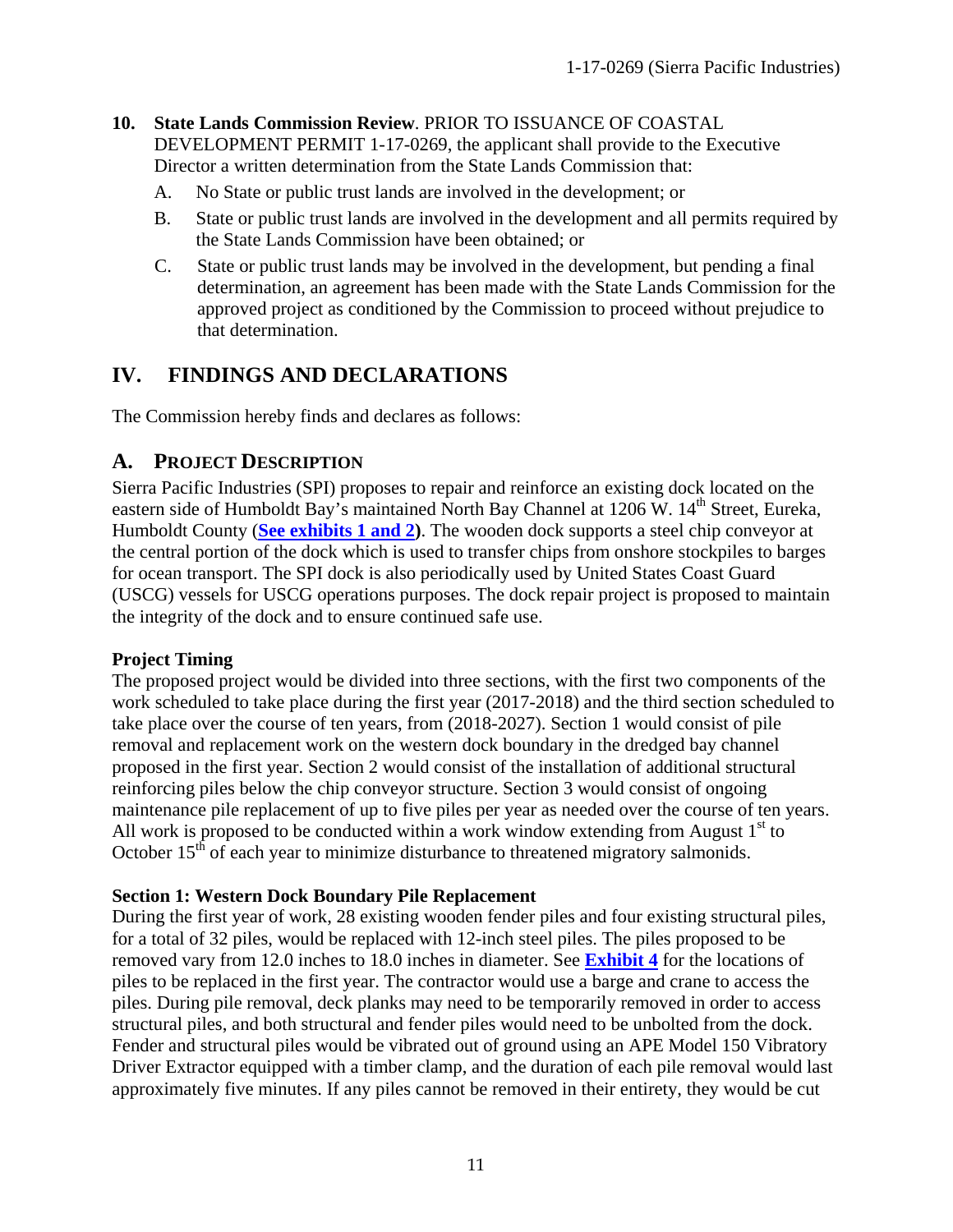#### **10. State Lands Commission Review**. PRIOR TO ISSUANCE OF COASTAL

DEVELOPMENT PERMIT 1-17-0269, the applicant shall provide to the Executive Director a written determination from the State Lands Commission that:

- A. No State or public trust lands are involved in the development; or
- B. State or public trust lands are involved in the development and all permits required by the State Lands Commission have been obtained; or
- C. State or public trust lands may be involved in the development, but pending a final determination, an agreement has been made with the State Lands Commission for the approved project as conditioned by the Commission to proceed without prejudice to that determination.

# <span id="page-10-0"></span>**IV. FINDINGS AND DECLARATIONS**

The Commission hereby finds and declares as follows:

### <span id="page-10-1"></span>**A. PROJECT DESCRIPTION**

Sierra Pacific Industries (SPI) proposes to repair and reinforce an existing dock located on the eastern side of Humboldt Bay's maintained North Bay Channel at 1206 W. 14<sup>th</sup> Street, Eureka, Humboldt County (**[See exhibits](https://documents.coastal.ca.gov/reports/2017/9/w19c/w19c-9-2017-exhibits.pdf) 1 and 2)**. The wooden dock supports a steel chip conveyor at the central portion of the dock which is used to transfer chips from onshore stockpiles to barges for ocean transport. The SPI dock is also periodically used by United States Coast Guard (USCG) vessels for USCG operations purposes. The dock repair project is proposed to maintain the integrity of the dock and to ensure continued safe use.

#### **Project Timing**

The proposed project would be divided into three sections, with the first two components of the work scheduled to take place during the first year (2017-2018) and the third section scheduled to take place over the course of ten years, from (2018-2027). Section 1 would consist of pile removal and replacement work on the western dock boundary in the dredged bay channel proposed in the first year. Section 2 would consist of the installation of additional structural reinforcing piles below the chip conveyor structure. Section 3 would consist of ongoing maintenance pile replacement of up to five piles per year as needed over the course of ten years. All work is proposed to be conducted within a work window extending from August  $1<sup>st</sup>$  to October  $15<sup>th</sup>$  of each year to minimize disturbance to threatened migratory salmonids.

#### **Section 1: Western Dock Boundary Pile Replacement**

During the first year of work, 28 existing wooden fender piles and four existing structural piles, for a total of 32 piles, would be replaced with 12-inch steel piles. The piles proposed to be removed vary from 12.0 inches to 18.0 inches in diameter. See **[Exhibit 4](https://documents.coastal.ca.gov/reports/2017/9/w19c/w19c-9-2017-exhibits.pdf)** for the locations of piles to be replaced in the first year. The contractor would use a barge and crane to access the piles. During pile removal, deck planks may need to be temporarily removed in order to access structural piles, and both structural and fender piles would need to be unbolted from the dock. Fender and structural piles would be vibrated out of ground using an APE Model 150 Vibratory Driver Extractor equipped with a timber clamp, and the duration of each pile removal would last approximately five minutes. If any piles cannot be removed in their entirety, they would be cut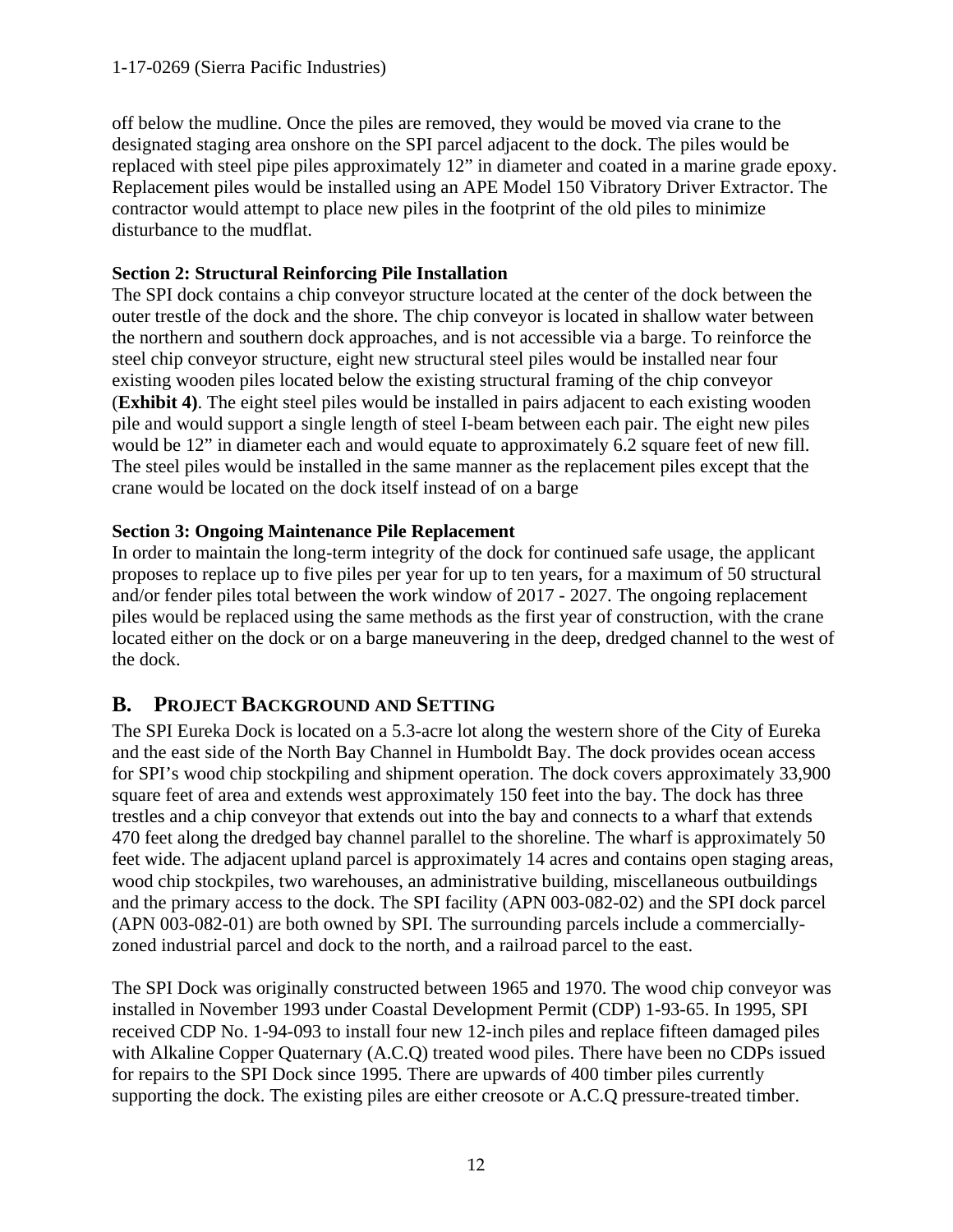#### 1-17-0269 (Sierra Pacific Industries)

off below the mudline. Once the piles are removed, they would be moved via crane to the designated staging area onshore on the SPI parcel adjacent to the dock. The piles would be replaced with steel pipe piles approximately 12" in diameter and coated in a marine grade epoxy. Replacement piles would be installed using an APE Model 150 Vibratory Driver Extractor. The contractor would attempt to place new piles in the footprint of the old piles to minimize disturbance to the mudflat.

#### **Section 2: Structural Reinforcing Pile Installation**

The SPI dock contains a chip conveyor structure located at the center of the dock between the outer trestle of the dock and the shore. The chip conveyor is located in shallow water between the northern and southern dock approaches, and is not accessible via a barge. To reinforce the steel chip conveyor structure, eight new structural steel piles would be installed near four existing wooden piles located below the existing structural framing of the chip conveyor (**Exhibit 4)**. The eight steel piles would be installed in pairs adjacent to each existing wooden pile and would support a single length of steel I-beam between each pair. The eight new piles would be 12" in diameter each and would equate to approximately 6.2 square feet of new fill. The steel piles would be installed in the same manner as the replacement piles except that the crane would be located on the dock itself instead of on a barge

#### **Section 3: Ongoing Maintenance Pile Replacement**

In order to maintain the long-term integrity of the dock for continued safe usage, the applicant proposes to replace up to five piles per year for up to ten years, for a maximum of 50 structural and/or fender piles total between the work window of 2017 - 2027. The ongoing replacement piles would be replaced using the same methods as the first year of construction, with the crane located either on the dock or on a barge maneuvering in the deep, dredged channel to the west of the dock.

# <span id="page-11-0"></span>**B. PROJECT BACKGROUND AND SETTING**

The SPI Eureka Dock is located on a 5.3-acre lot along the western shore of the City of Eureka and the east side of the North Bay Channel in Humboldt Bay. The dock provides ocean access for SPI's wood chip stockpiling and shipment operation. The dock covers approximately 33,900 square feet of area and extends west approximately 150 feet into the bay. The dock has three trestles and a chip conveyor that extends out into the bay and connects to a wharf that extends 470 feet along the dredged bay channel parallel to the shoreline. The wharf is approximately 50 feet wide. The adjacent upland parcel is approximately 14 acres and contains open staging areas, wood chip stockpiles, two warehouses, an administrative building, miscellaneous outbuildings and the primary access to the dock. The SPI facility (APN 003-082-02) and the SPI dock parcel (APN 003-082-01) are both owned by SPI. The surrounding parcels include a commerciallyzoned industrial parcel and dock to the north, and a railroad parcel to the east.

The SPI Dock was originally constructed between 1965 and 1970. The wood chip conveyor was installed in November 1993 under Coastal Development Permit (CDP) 1-93-65. In 1995, SPI received CDP No. 1-94-093 to install four new 12-inch piles and replace fifteen damaged piles with Alkaline Copper Quaternary (A.C.Q) treated wood piles. There have been no CDPs issued for repairs to the SPI Dock since 1995. There are upwards of 400 timber piles currently supporting the dock. The existing piles are either creosote or A.C.Q pressure-treated timber.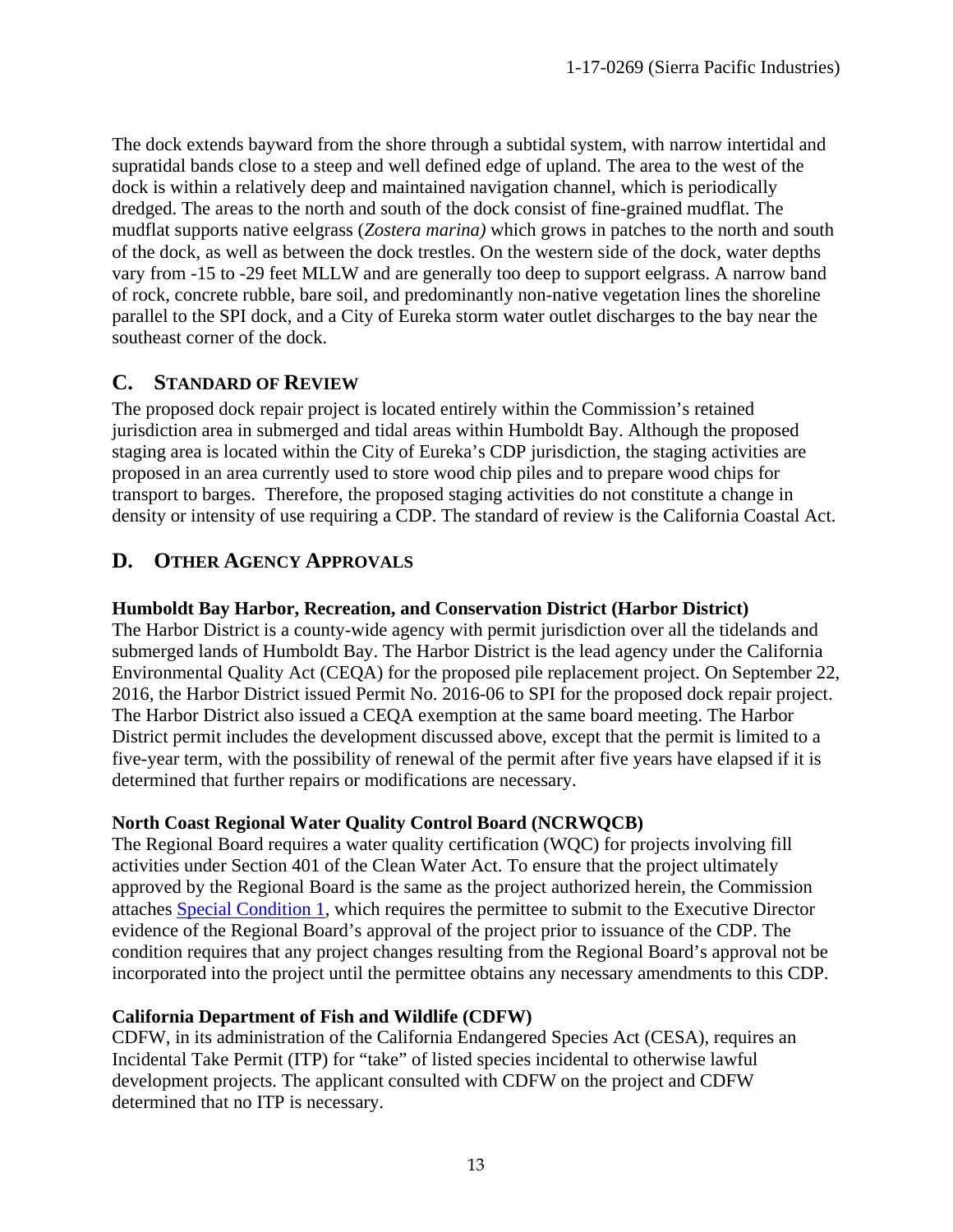The dock extends bayward from the shore through a subtidal system, with narrow intertidal and supratidal bands close to a steep and well defined edge of upland. The area to the west of the dock is within a relatively deep and maintained navigation channel, which is periodically dredged. The areas to the north and south of the dock consist of fine-grained mudflat. The mudflat supports native eelgrass (*Zostera marina)* which grows in patches to the north and south of the dock, as well as between the dock trestles. On the western side of the dock, water depths vary from -15 to -29 feet MLLW and are generally too deep to support eelgrass. A narrow band of rock, concrete rubble, bare soil, and predominantly non-native vegetation lines the shoreline parallel to the SPI dock, and a City of Eureka storm water outlet discharges to the bay near the southeast corner of the dock.

# <span id="page-12-0"></span>**C. STANDARD OF REVIEW**

The proposed dock repair project is located entirely within the Commission's retained jurisdiction area in submerged and tidal areas within Humboldt Bay. Although the proposed staging area is located within the City of Eureka's CDP jurisdiction, the staging activities are proposed in an area currently used to store wood chip piles and to prepare wood chips for transport to barges. Therefore, the proposed staging activities do not constitute a change in density or intensity of use requiring a CDP. The standard of review is the California Coastal Act.

# <span id="page-12-1"></span>**D. OTHER AGENCY APPROVALS**

#### **Humboldt Bay Harbor, Recreation, and Conservation District (Harbor District)**

The Harbor District is a county-wide agency with permit jurisdiction over all the tidelands and submerged lands of Humboldt Bay. The Harbor District is the lead agency under the California Environmental Quality Act (CEQA) for the proposed pile replacement project. On September 22, 2016, the Harbor District issued Permit No. 2016-06 to SPI for the proposed dock repair project. The Harbor District also issued a CEQA exemption at the same board meeting. The Harbor District permit includes the development discussed above, except that the permit is limited to a five-year term, with the possibility of renewal of the permit after five years have elapsed if it is determined that further repairs or modifications are necessary.

#### **North Coast Regional Water Quality Control Board (NCRWQCB)**

The Regional Board requires a water quality certification (WQC) for projects involving fill activities under Section 401 of the Clean Water Act. To ensure that the project ultimately approved by the Regional Board is the same as the project authorized herein, the Commission attaches Special Condition 1, which requires the permittee to submit to the Executive Director evidence of the Regional Board's approval of the project prior to issuance of the CDP. The condition requires that any project changes resulting from the Regional Board's approval not be incorporated into the project until the permittee obtains any necessary amendments to this CDP.

#### **California Department of Fish and Wildlife (CDFW)**

CDFW, in its administration of the California Endangered Species Act (CESA), requires an Incidental Take Permit (ITP) for "take" of listed species incidental to otherwise lawful development projects. The applicant consulted with CDFW on the project and CDFW determined that no ITP is necessary.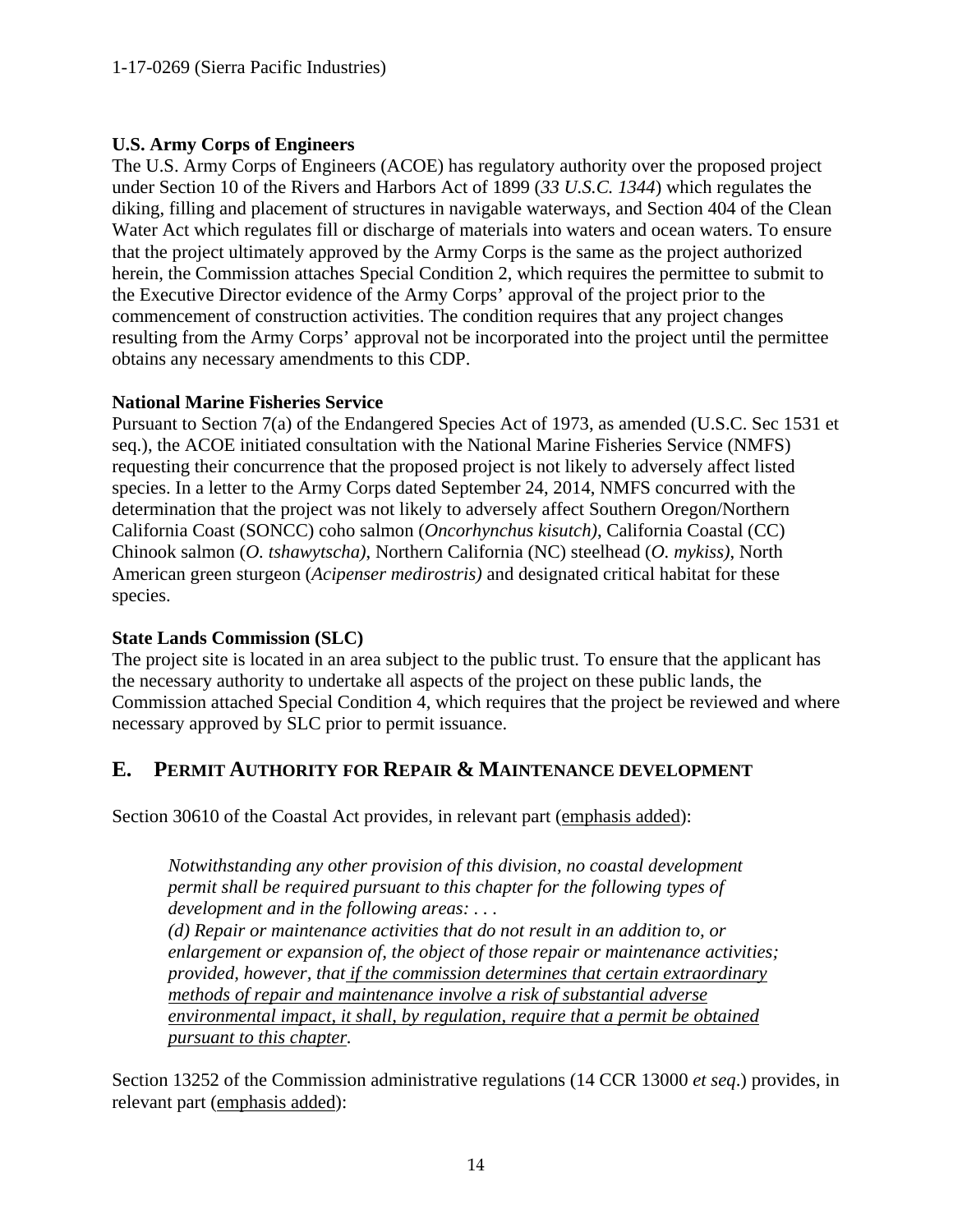#### **U.S. Army Corps of Engineers**

The U.S. Army Corps of Engineers (ACOE) has regulatory authority over the proposed project under Section 10 of the Rivers and Harbors Act of 1899 (*33 U.S.C. 1344*) which regulates the diking, filling and placement of structures in navigable waterways, and Section 404 of the Clean Water Act which regulates fill or discharge of materials into waters and ocean waters. To ensure that the project ultimately approved by the Army Corps is the same as the project authorized herein, the Commission attaches Special Condition 2, which requires the permittee to submit to the Executive Director evidence of the Army Corps' approval of the project prior to the commencement of construction activities. The condition requires that any project changes resulting from the Army Corps' approval not be incorporated into the project until the permittee obtains any necessary amendments to this CDP.

#### **National Marine Fisheries Service**

Pursuant to Section 7(a) of the Endangered Species Act of 1973, as amended (U.S.C. Sec 1531 et seq.), the ACOE initiated consultation with the National Marine Fisheries Service (NMFS) requesting their concurrence that the proposed project is not likely to adversely affect listed species. In a letter to the Army Corps dated September 24, 2014, NMFS concurred with the determination that the project was not likely to adversely affect Southern Oregon/Northern California Coast (SONCC) coho salmon (*Oncorhynchus kisutch)*, California Coastal (CC) Chinook salmon (*O. tshawytscha)*, Northern California (NC) steelhead (*O. mykiss)*, North American green sturgeon (*Acipenser medirostris)* and designated critical habitat for these species.

### **State Lands Commission (SLC)**

The project site is located in an area subject to the public trust. To ensure that the applicant has the necessary authority to undertake all aspects of the project on these public lands, the Commission attached Special Condition 4, which requires that the project be reviewed and where necessary approved by SLC prior to permit issuance.

# <span id="page-13-0"></span>**E. PERMIT AUTHORITY FOR REPAIR & MAINTENANCE DEVELOPMENT**

Section 30610 of the Coastal Act provides, in relevant part (emphasis added):

*Notwithstanding any other provision of this division, no coastal development permit shall be required pursuant to this chapter for the following types of development and in the following areas: . . .* 

*(d) Repair or maintenance activities that do not result in an addition to, or enlargement or expansion of, the object of those repair or maintenance activities; provided, however, that if the commission determines that certain extraordinary methods of repair and maintenance involve a risk of substantial adverse environmental impact, it shall, by regulation, require that a permit be obtained pursuant to this chapter.*

Section 13252 of the Commission administrative regulations (14 CCR 13000 *et seq*.) provides, in relevant part (emphasis added):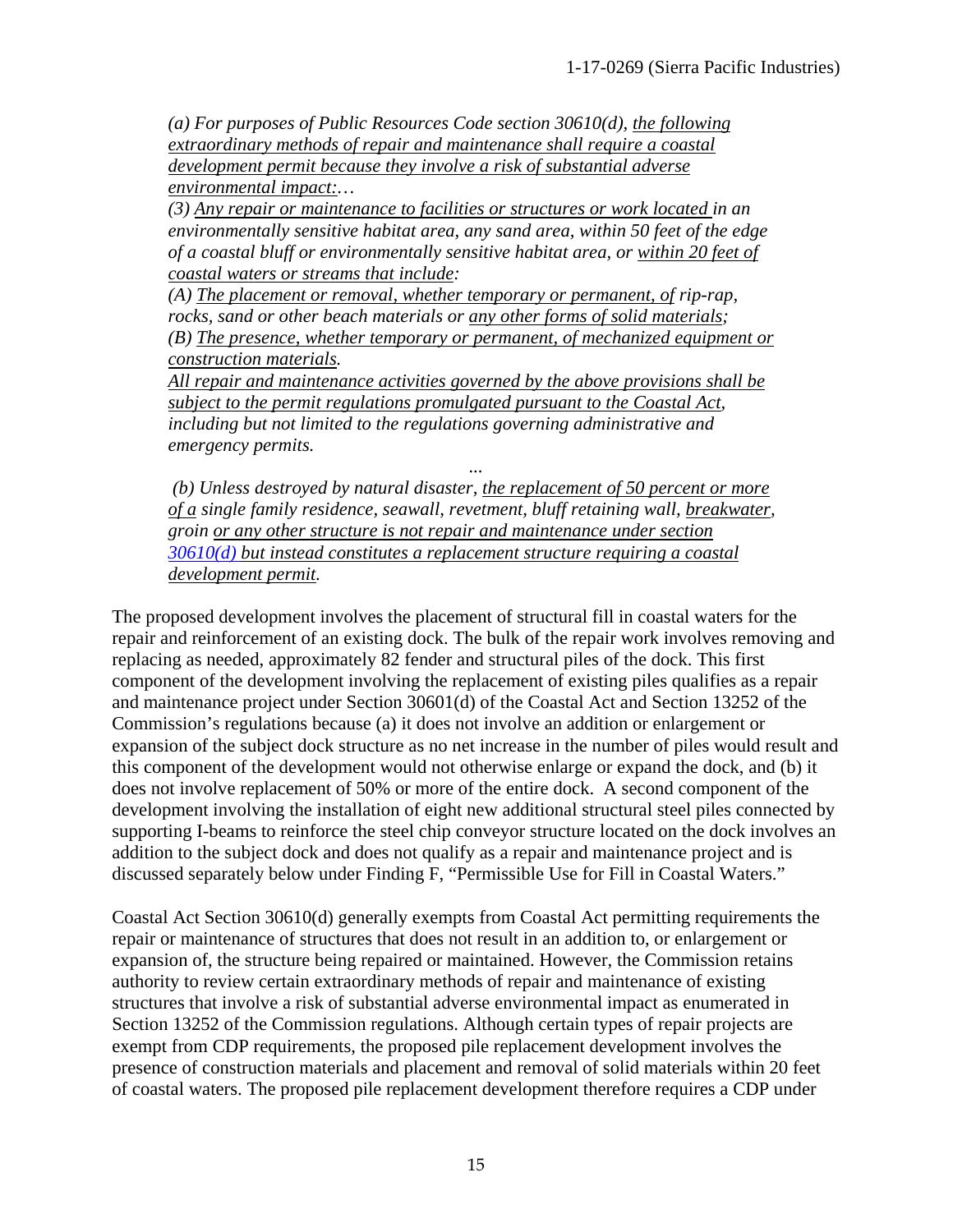*(a) For purposes of Public Resources Code section 30610(d), the following extraordinary methods of repair and maintenance shall require a coastal development permit because they involve a risk of substantial adverse environmental impact:…* 

*(3) Any repair or maintenance to facilities or structures or work located in an environmentally sensitive habitat area, any sand area, within 50 feet of the edge of a coastal bluff or environmentally sensitive habitat area, or within 20 feet of coastal waters or streams that include:* 

*(A) The placement or removal, whether temporary or permanent, of rip-rap, rocks, sand or other beach materials or any other forms of solid materials; (B) The presence, whether temporary or permanent, of mechanized equipment or construction materials.* 

*All repair and maintenance activities governed by the above provisions shall be subject to the permit regulations promulgated pursuant to the Coastal Act, including but not limited to the regulations governing administrative and emergency permits.* 

*... (b) Unless destroyed by natural disaster, the replacement of 50 percent or more of a single family residence, seawall, revetment, bluff retaining wall, breakwater, groin or any other structure is not repair and maintenance under section 30610(d) but instead constitutes a replacement structure requiring a coastal development permit.* 

The proposed development involves the placement of structural fill in coastal waters for the repair and reinforcement of an existing dock. The bulk of the repair work involves removing and replacing as needed, approximately 82 fender and structural piles of the dock. This first component of the development involving the replacement of existing piles qualifies as a repair and maintenance project under Section 30601(d) of the Coastal Act and Section 13252 of the Commission's regulations because (a) it does not involve an addition or enlargement or expansion of the subject dock structure as no net increase in the number of piles would result and this component of the development would not otherwise enlarge or expand the dock, and (b) it does not involve replacement of 50% or more of the entire dock. A second component of the development involving the installation of eight new additional structural steel piles connected by supporting I-beams to reinforce the steel chip conveyor structure located on the dock involves an addition to the subject dock and does not qualify as a repair and maintenance project and is discussed separately below under Finding F, "Permissible Use for Fill in Coastal Waters."

Coastal Act Section 30610(d) generally exempts from Coastal Act permitting requirements the repair or maintenance of structures that does not result in an addition to, or enlargement or expansion of, the structure being repaired or maintained. However, the Commission retains authority to review certain extraordinary methods of repair and maintenance of existing structures that involve a risk of substantial adverse environmental impact as enumerated in Section 13252 of the Commission regulations. Although certain types of repair projects are exempt from CDP requirements, the proposed pile replacement development involves the presence of construction materials and placement and removal of solid materials within 20 feet of coastal waters. The proposed pile replacement development therefore requires a CDP under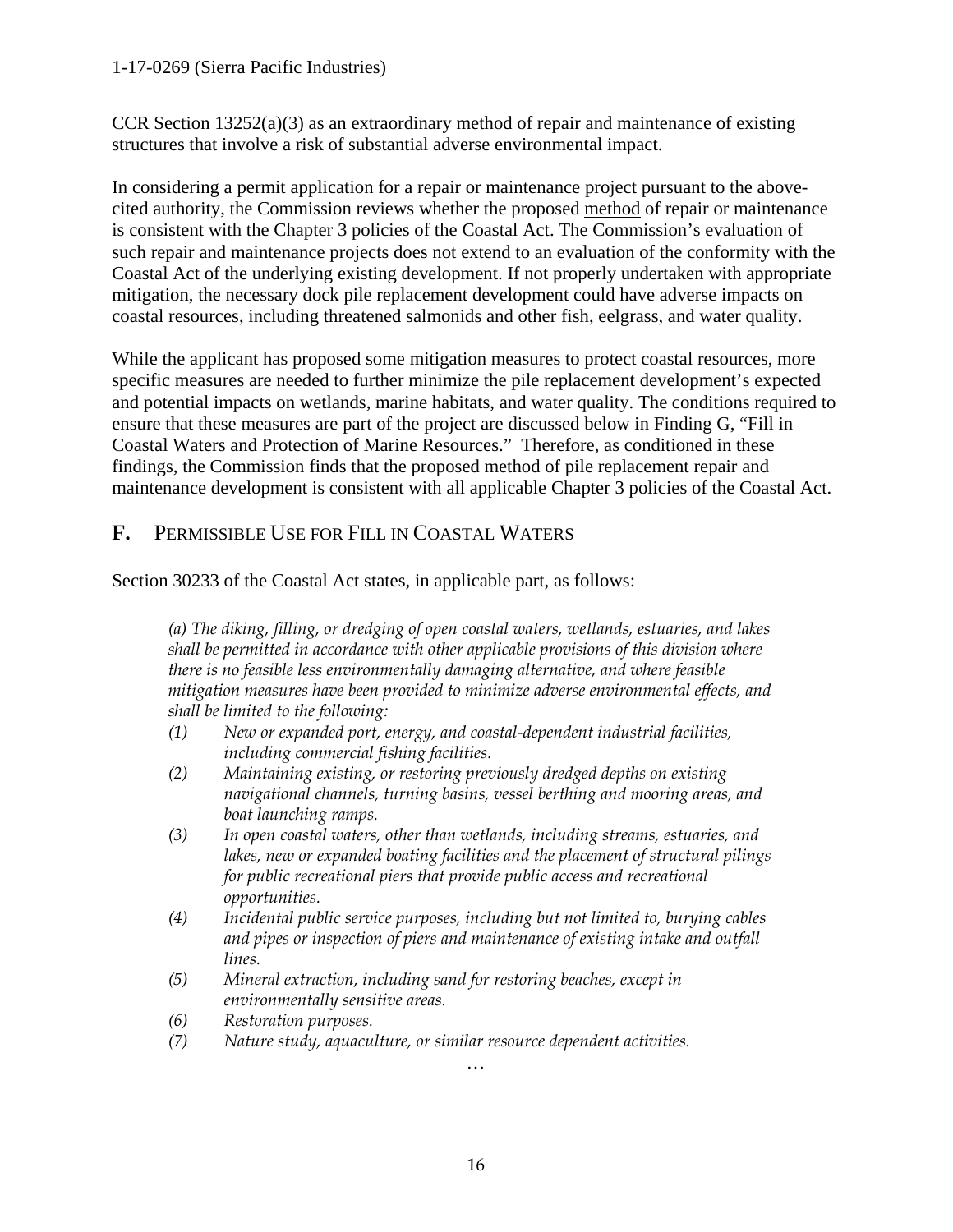#### 1-17-0269 (Sierra Pacific Industries)

CCR Section  $13252(a)(3)$  as an extraordinary method of repair and maintenance of existing structures that involve a risk of substantial adverse environmental impact.

In considering a permit application for a repair or maintenance project pursuant to the abovecited authority, the Commission reviews whether the proposed method of repair or maintenance is consistent with the Chapter 3 policies of the Coastal Act. The Commission's evaluation of such repair and maintenance projects does not extend to an evaluation of the conformity with the Coastal Act of the underlying existing development. If not properly undertaken with appropriate mitigation, the necessary dock pile replacement development could have adverse impacts on coastal resources, including threatened salmonids and other fish, eelgrass, and water quality.

While the applicant has proposed some mitigation measures to protect coastal resources, more specific measures are needed to further minimize the pile replacement development's expected and potential impacts on wetlands, marine habitats, and water quality. The conditions required to ensure that these measures are part of the project are discussed below in Finding G, "Fill in Coastal Waters and Protection of Marine Resources." Therefore, as conditioned in these findings, the Commission finds that the proposed method of pile replacement repair and maintenance development is consistent with all applicable Chapter 3 policies of the Coastal Act.

### <span id="page-15-0"></span>**F.** PERMISSIBLE USE FOR FILL IN COASTAL WATERS

Section 30233 of the Coastal Act states, in applicable part, as follows:

*(a) The diking, filling, or dredging of open coastal waters, wetlands, estuaries, and lakes shall be permitted in accordance with other applicable provisions of this division where there is no feasible less environmentally damaging alternative, and where feasible mitigation measures have been provided to minimize adverse environmental effects, and shall be limited to the following:*

- *(1) New or expanded port, energy, and coastal-dependent industrial facilities, including commercial fishing facilities.*
- *(2) Maintaining existing, or restoring previously dredged depths on existing navigational channels, turning basins, vessel berthing and mooring areas, and boat launching ramps.*
- *(3) In open coastal waters, other than wetlands, including streams, estuaries, and lakes, new or expanded boating facilities and the placement of structural pilings for public recreational piers that provide public access and recreational opportunities.*
- *(4) Incidental public service purposes, including but not limited to, burying cables and pipes or inspection of piers and maintenance of existing intake and outfall lines.*
- *(5) Mineral extraction, including sand for restoring beaches, except in environmentally sensitive areas.*
- *(6) Restoration purposes.*
- *(7) Nature study, aquaculture, or similar resource dependent activities.*

*…*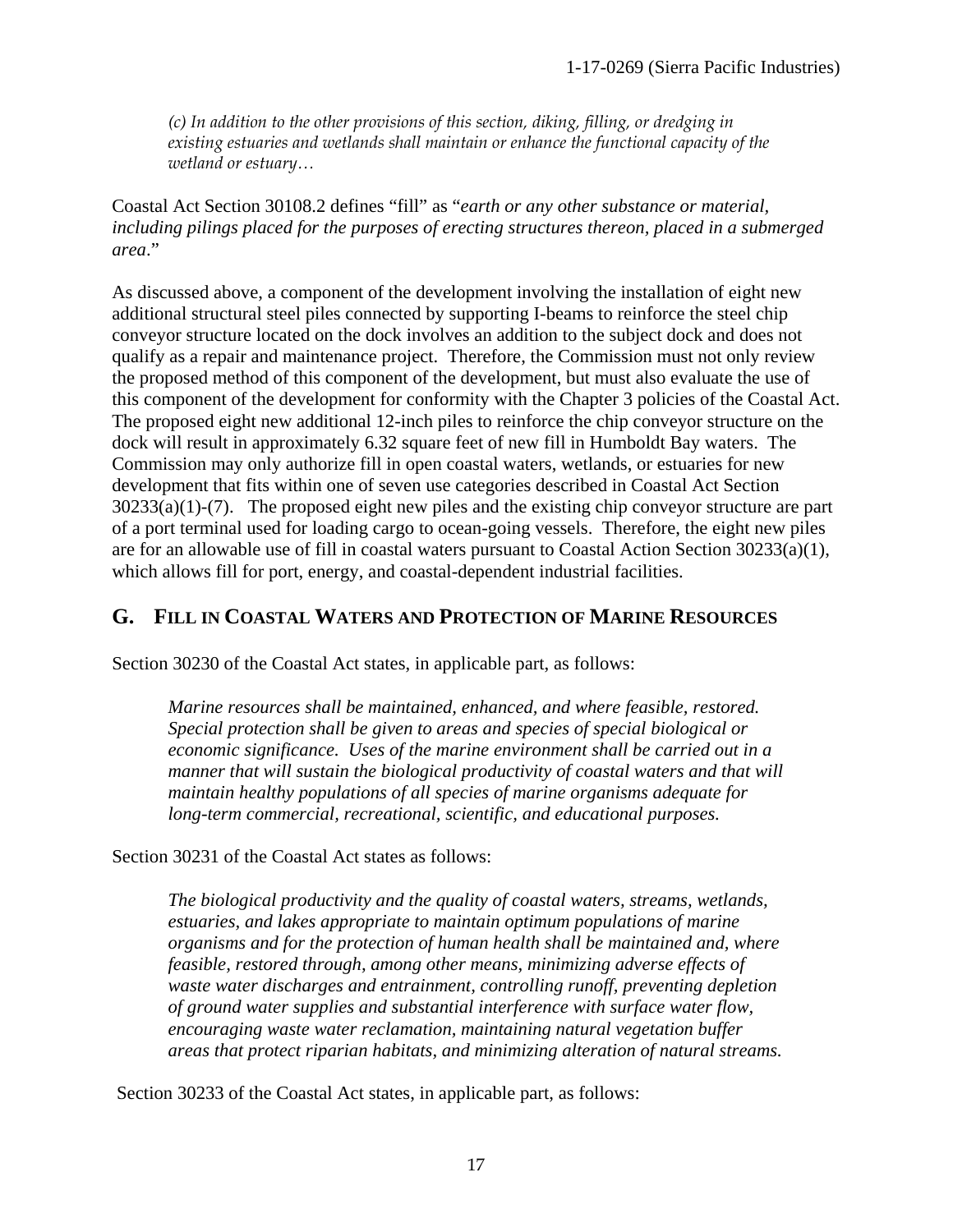*(c) In addition to the other provisions of this section, diking, filling, or dredging in existing estuaries and wetlands shall maintain or enhance the functional capacity of the wetland or estuary…*

Coastal Act Section 30108.2 defines "fill" as "*earth or any other substance or material, including pilings placed for the purposes of erecting structures thereon, placed in a submerged area*."

As discussed above, a component of the development involving the installation of eight new additional structural steel piles connected by supporting I-beams to reinforce the steel chip conveyor structure located on the dock involves an addition to the subject dock and does not qualify as a repair and maintenance project. Therefore, the Commission must not only review the proposed method of this component of the development, but must also evaluate the use of this component of the development for conformity with the Chapter 3 policies of the Coastal Act. The proposed eight new additional 12-inch piles to reinforce the chip conveyor structure on the dock will result in approximately 6.32 square feet of new fill in Humboldt Bay waters. The Commission may only authorize fill in open coastal waters, wetlands, or estuaries for new development that fits within one of seven use categories described in Coastal Act Section 30233(a)(1)-(7). The proposed eight new piles and the existing chip conveyor structure are part of a port terminal used for loading cargo to ocean-going vessels. Therefore, the eight new piles are for an allowable use of fill in coastal waters pursuant to Coastal Action Section 30233(a)(1), which allows fill for port, energy, and coastal-dependent industrial facilities.

### <span id="page-16-0"></span>**G. FILL IN COASTAL WATERS AND PROTECTION OF MARINE RESOURCES**

Section 30230 of the Coastal Act states, in applicable part, as follows:

*Marine resources shall be maintained, enhanced, and where feasible, restored. Special protection shall be given to areas and species of special biological or economic significance. Uses of the marine environment shall be carried out in a manner that will sustain the biological productivity of coastal waters and that will maintain healthy populations of all species of marine organisms adequate for long-term commercial, recreational, scientific, and educational purposes.* 

Section 30231 of the Coastal Act states as follows:

*The biological productivity and the quality of coastal waters, streams, wetlands, estuaries, and lakes appropriate to maintain optimum populations of marine organisms and for the protection of human health shall be maintained and, where feasible, restored through, among other means, minimizing adverse effects of waste water discharges and entrainment, controlling runoff, preventing depletion of ground water supplies and substantial interference with surface water flow, encouraging waste water reclamation, maintaining natural vegetation buffer areas that protect riparian habitats, and minimizing alteration of natural streams.* 

Section 30233 of the Coastal Act states, in applicable part, as follows: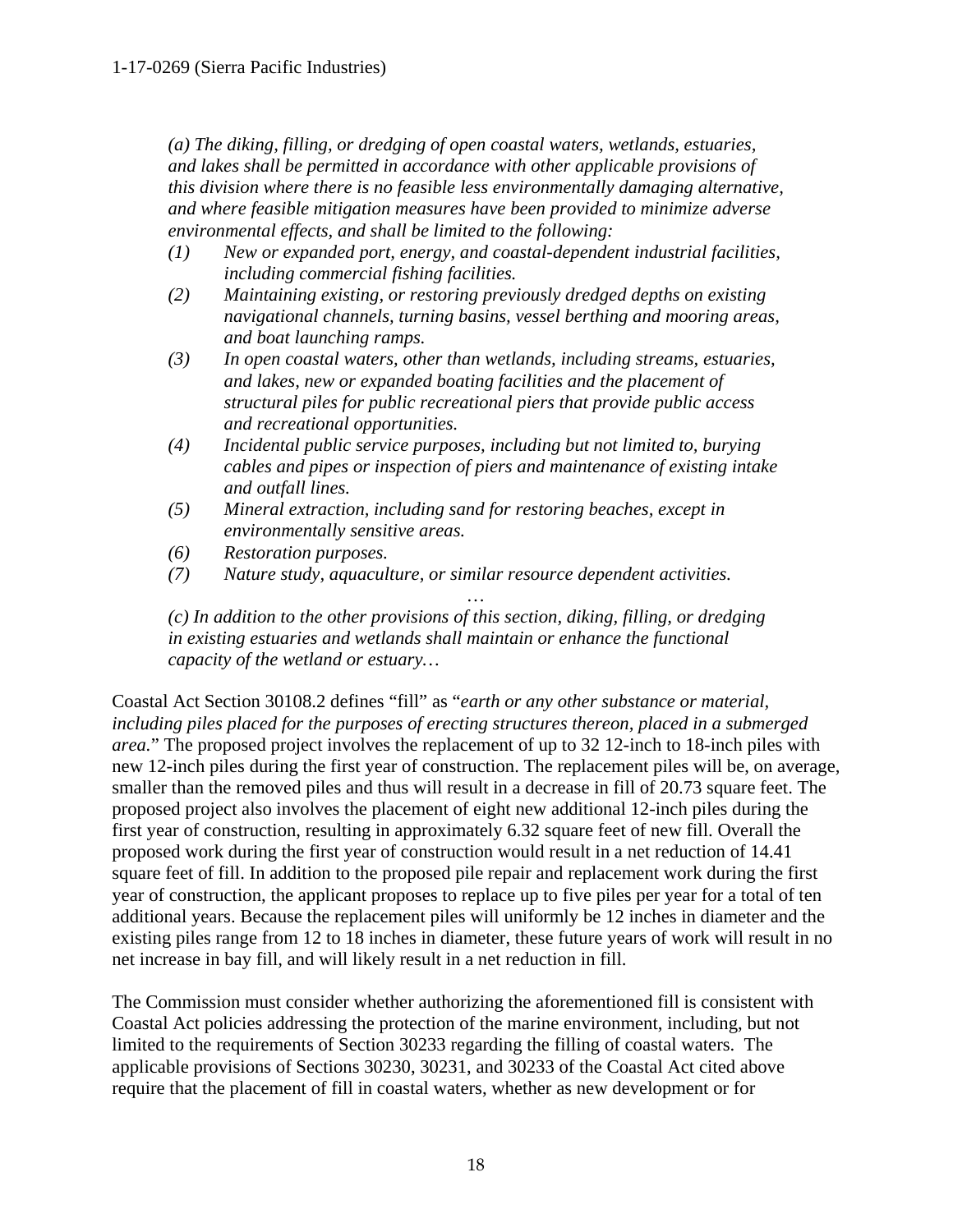*(a) The diking, filling, or dredging of open coastal waters, wetlands, estuaries, and lakes shall be permitted in accordance with other applicable provisions of this division where there is no feasible less environmentally damaging alternative, and where feasible mitigation measures have been provided to minimize adverse environmental effects, and shall be limited to the following:* 

- *(1) New or expanded port, energy, and coastal-dependent industrial facilities, including commercial fishing facilities.*
- *(2) Maintaining existing, or restoring previously dredged depths on existing navigational channels, turning basins, vessel berthing and mooring areas, and boat launching ramps.*
- *(3) In open coastal waters, other than wetlands, including streams, estuaries, and lakes, new or expanded boating facilities and the placement of structural piles for public recreational piers that provide public access and recreational opportunities.*
- *(4) Incidental public service purposes, including but not limited to, burying cables and pipes or inspection of piers and maintenance of existing intake and outfall lines.*
- *(5) Mineral extraction, including sand for restoring beaches, except in environmentally sensitive areas.*
- *(6) Restoration purposes.*
- *(7) Nature study, aquaculture, or similar resource dependent activities.*

*… (c) In addition to the other provisions of this section, diking, filling, or dredging in existing estuaries and wetlands shall maintain or enhance the functional capacity of the wetland or estuary…* 

Coastal Act Section 30108.2 defines "fill" as "*earth or any other substance or material, including piles placed for the purposes of erecting structures thereon, placed in a submerged area.*" The proposed project involves the replacement of up to 32 12-inch to 18-inch piles with new 12-inch piles during the first year of construction. The replacement piles will be, on average, smaller than the removed piles and thus will result in a decrease in fill of 20.73 square feet. The proposed project also involves the placement of eight new additional 12-inch piles during the first year of construction, resulting in approximately 6.32 square feet of new fill. Overall the proposed work during the first year of construction would result in a net reduction of 14.41 square feet of fill. In addition to the proposed pile repair and replacement work during the first year of construction, the applicant proposes to replace up to five piles per year for a total of ten additional years. Because the replacement piles will uniformly be 12 inches in diameter and the existing piles range from 12 to 18 inches in diameter, these future years of work will result in no net increase in bay fill, and will likely result in a net reduction in fill.

The Commission must consider whether authorizing the aforementioned fill is consistent with Coastal Act policies addressing the protection of the marine environment, including, but not limited to the requirements of Section 30233 regarding the filling of coastal waters. The applicable provisions of Sections 30230, 30231, and 30233 of the Coastal Act cited above require that the placement of fill in coastal waters, whether as new development or for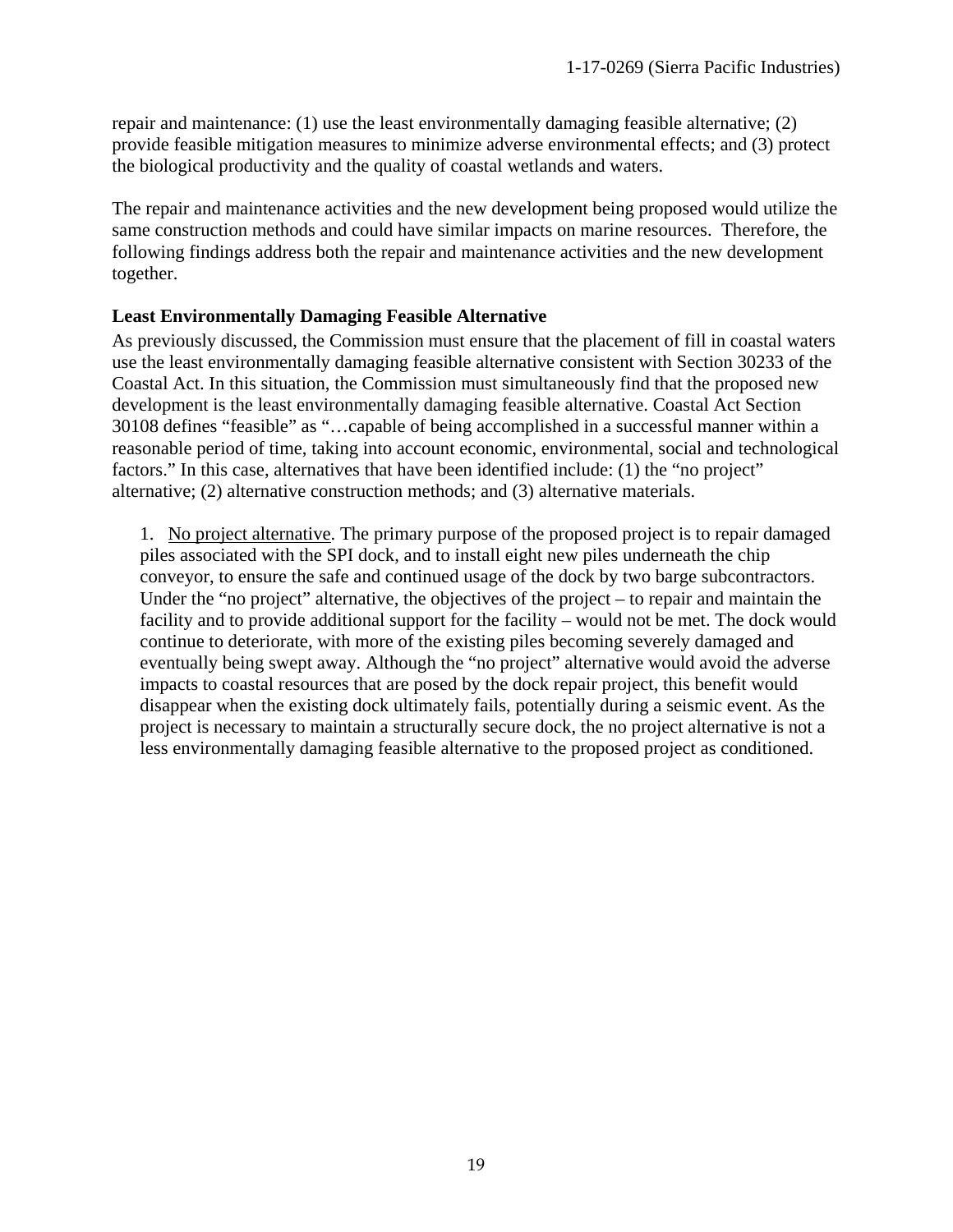repair and maintenance: (1) use the least environmentally damaging feasible alternative; (2) provide feasible mitigation measures to minimize adverse environmental effects; and (3) protect the biological productivity and the quality of coastal wetlands and waters.

The repair and maintenance activities and the new development being proposed would utilize the same construction methods and could have similar impacts on marine resources. Therefore, the following findings address both the repair and maintenance activities and the new development together.

#### **Least Environmentally Damaging Feasible Alternative**

As previously discussed, the Commission must ensure that the placement of fill in coastal waters use the least environmentally damaging feasible alternative consistent with Section 30233 of the Coastal Act. In this situation, the Commission must simultaneously find that the proposed new development is the least environmentally damaging feasible alternative. Coastal Act Section 30108 defines "feasible" as "…capable of being accomplished in a successful manner within a reasonable period of time, taking into account economic, environmental, social and technological factors." In this case, alternatives that have been identified include: (1) the "no project" alternative; (2) alternative construction methods; and (3) alternative materials.

1. No project alternative. The primary purpose of the proposed project is to repair damaged piles associated with the SPI dock, and to install eight new piles underneath the chip conveyor, to ensure the safe and continued usage of the dock by two barge subcontractors. Under the "no project" alternative, the objectives of the project – to repair and maintain the facility and to provide additional support for the facility – would not be met. The dock would continue to deteriorate, with more of the existing piles becoming severely damaged and eventually being swept away. Although the "no project" alternative would avoid the adverse impacts to coastal resources that are posed by the dock repair project, this benefit would disappear when the existing dock ultimately fails, potentially during a seismic event. As the project is necessary to maintain a structurally secure dock, the no project alternative is not a less environmentally damaging feasible alternative to the proposed project as conditioned.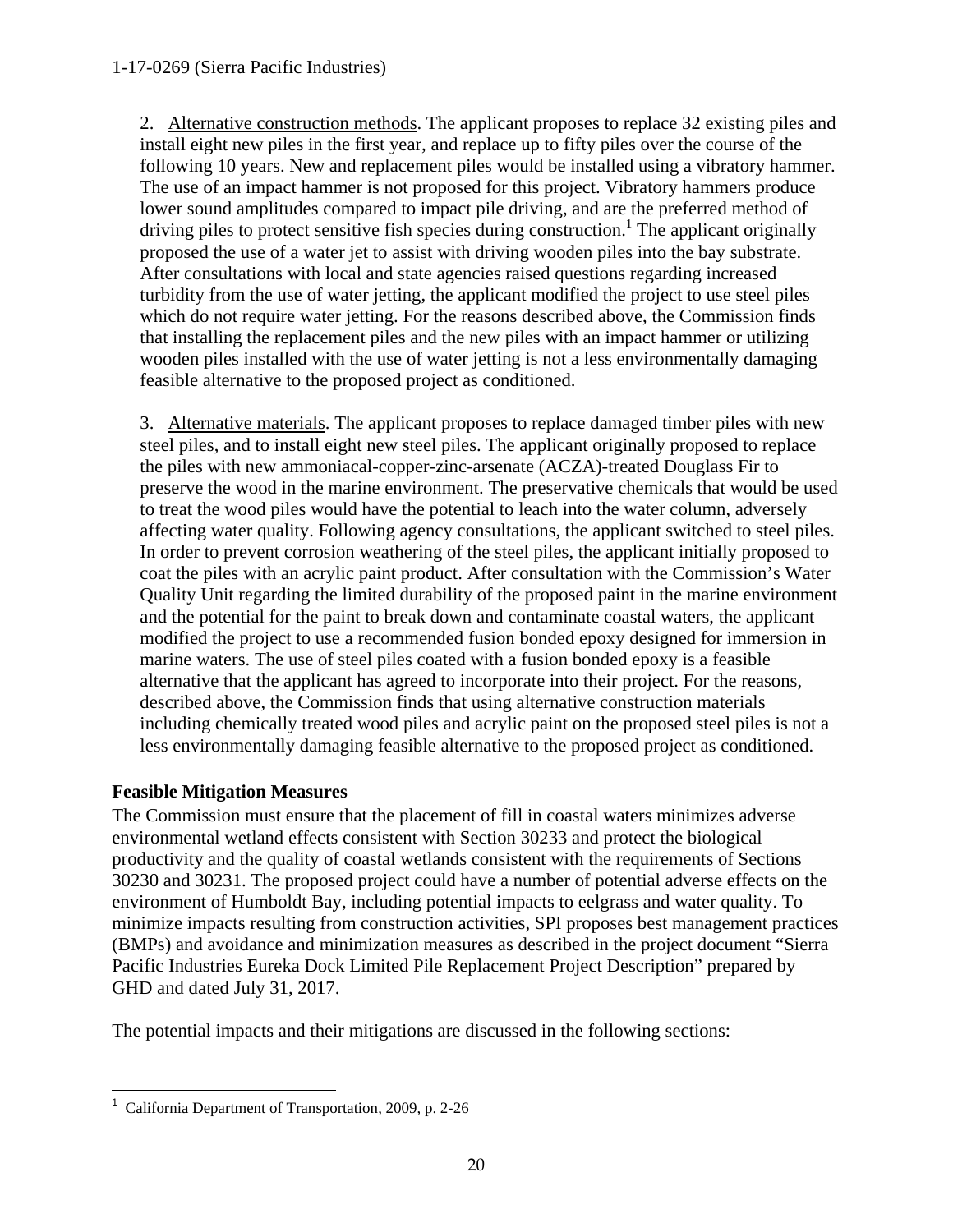2. Alternative construction methods. The applicant proposes to replace 32 existing piles and install eight new piles in the first year, and replace up to fifty piles over the course of the following 10 years. New and replacement piles would be installed using a vibratory hammer. The use of an impact hammer is not proposed for this project. Vibratory hammers produce lower sound amplitudes compared to impact pile driving, and are the preferred method of driving piles to protect sensitive fish species during construction.<sup>1</sup> The applicant originally proposed the use of a water jet to assist with driving wooden piles into the bay substrate. After consultations with local and state agencies raised questions regarding increased turbidity from the use of water jetting, the applicant modified the project to use steel piles which do not require water jetting. For the reasons described above, the Commission finds that installing the replacement piles and the new piles with an impact hammer or utilizing wooden piles installed with the use of water jetting is not a less environmentally damaging feasible alternative to the proposed project as conditioned.

3. Alternative materials. The applicant proposes to replace damaged timber piles with new steel piles, and to install eight new steel piles. The applicant originally proposed to replace the piles with new ammoniacal-copper-zinc-arsenate (ACZA)-treated Douglass Fir to preserve the wood in the marine environment. The preservative chemicals that would be used to treat the wood piles would have the potential to leach into the water column, adversely affecting water quality. Following agency consultations, the applicant switched to steel piles. In order to prevent corrosion weathering of the steel piles, the applicant initially proposed to coat the piles with an acrylic paint product. After consultation with the Commission's Water Quality Unit regarding the limited durability of the proposed paint in the marine environment and the potential for the paint to break down and contaminate coastal waters, the applicant modified the project to use a recommended fusion bonded epoxy designed for immersion in marine waters. The use of steel piles coated with a fusion bonded epoxy is a feasible alternative that the applicant has agreed to incorporate into their project. For the reasons, described above, the Commission finds that using alternative construction materials including chemically treated wood piles and acrylic paint on the proposed steel piles is not a less environmentally damaging feasible alternative to the proposed project as conditioned.

### **Feasible Mitigation Measures**

The Commission must ensure that the placement of fill in coastal waters minimizes adverse environmental wetland effects consistent with Section 30233 and protect the biological productivity and the quality of coastal wetlands consistent with the requirements of Sections 30230 and 30231. The proposed project could have a number of potential adverse effects on the environment of Humboldt Bay, including potential impacts to eelgrass and water quality. To minimize impacts resulting from construction activities, SPI proposes best management practices (BMPs) and avoidance and minimization measures as described in the project document "Sierra Pacific Industries Eureka Dock Limited Pile Replacement Project Description" prepared by GHD and dated July 31, 2017.

The potential impacts and their mitigations are discussed in the following sections:

 $\overline{a}$ 1 California Department of Transportation, 2009, p. 2-26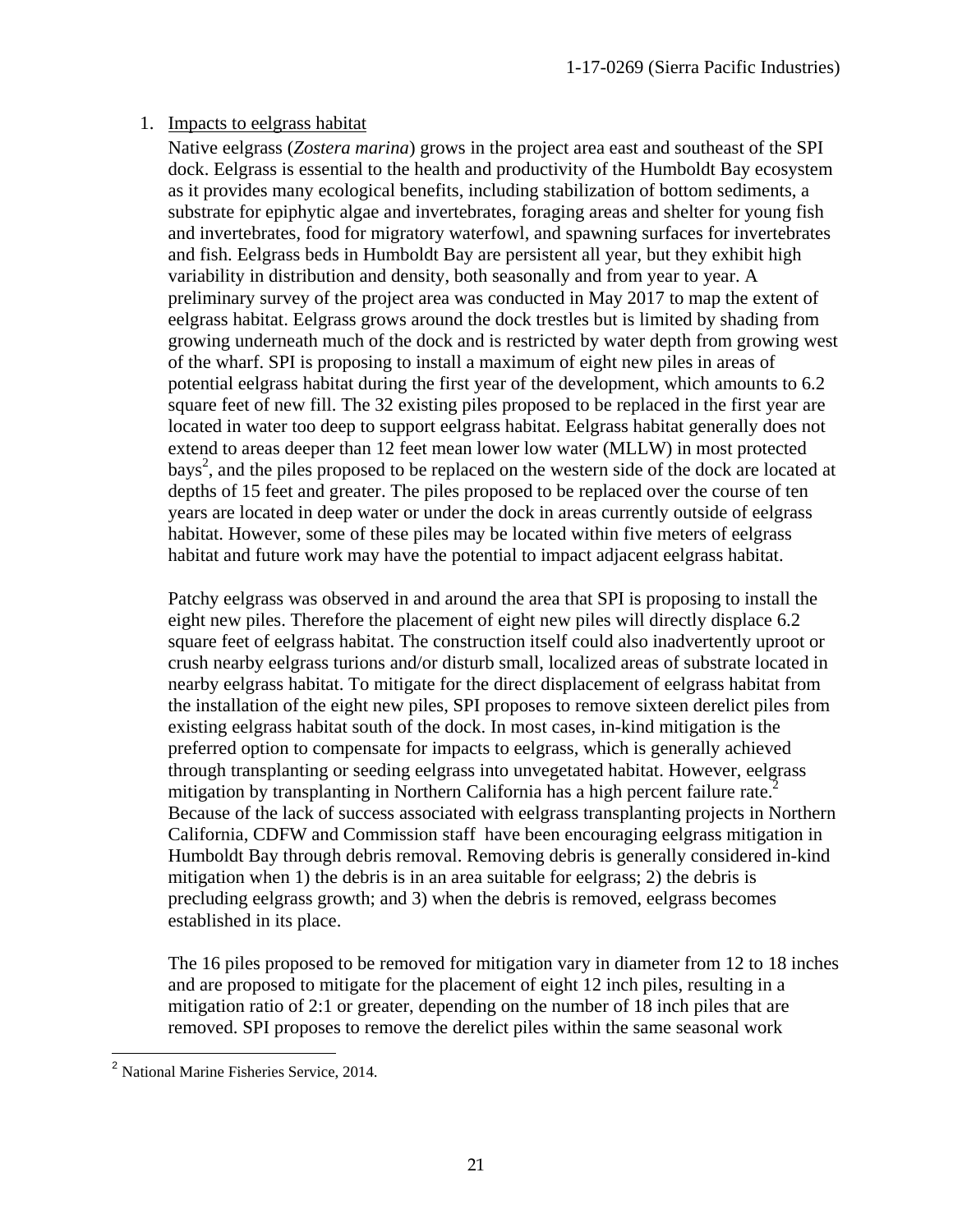#### 1. Impacts to eelgrass habitat

Native eelgrass (*Zostera marina*) grows in the project area east and southeast of the SPI dock. Eelgrass is essential to the health and productivity of the Humboldt Bay ecosystem as it provides many ecological benefits, including stabilization of bottom sediments, a substrate for epiphytic algae and invertebrates, foraging areas and shelter for young fish and invertebrates, food for migratory waterfowl, and spawning surfaces for invertebrates and fish. Eelgrass beds in Humboldt Bay are persistent all year, but they exhibit high variability in distribution and density, both seasonally and from year to year. A preliminary survey of the project area was conducted in May 2017 to map the extent of eelgrass habitat. Eelgrass grows around the dock trestles but is limited by shading from growing underneath much of the dock and is restricted by water depth from growing west of the wharf. SPI is proposing to install a maximum of eight new piles in areas of potential eelgrass habitat during the first year of the development, which amounts to 6.2 square feet of new fill. The 32 existing piles proposed to be replaced in the first year are located in water too deep to support eelgrass habitat. Eelgrass habitat generally does not extend to areas deeper than 12 feet mean lower low water (MLLW) in most protected bays<sup>2</sup>, and the piles proposed to be replaced on the western side of the dock are located at depths of 15 feet and greater. The piles proposed to be replaced over the course of ten years are located in deep water or under the dock in areas currently outside of eelgrass habitat. However, some of these piles may be located within five meters of eelgrass habitat and future work may have the potential to impact adjacent eelgrass habitat.

Patchy eelgrass was observed in and around the area that SPI is proposing to install the eight new piles. Therefore the placement of eight new piles will directly displace 6.2 square feet of eelgrass habitat. The construction itself could also inadvertently uproot or crush nearby eelgrass turions and/or disturb small, localized areas of substrate located in nearby eelgrass habitat. To mitigate for the direct displacement of eelgrass habitat from the installation of the eight new piles, SPI proposes to remove sixteen derelict piles from existing eelgrass habitat south of the dock. In most cases, in-kind mitigation is the preferred option to compensate for impacts to eelgrass, which is generally achieved through transplanting or seeding eelgrass into unvegetated habitat. However, eelgrass mitigation by transplanting in Northern California has a high percent failure rate.<sup>2</sup> Because of the lack of success associated with eelgrass transplanting projects in Northern California, CDFW and Commission staff have been encouraging eelgrass mitigation in Humboldt Bay through debris removal. Removing debris is generally considered in-kind mitigation when 1) the debris is in an area suitable for eelgrass; 2) the debris is precluding eelgrass growth; and 3) when the debris is removed, eelgrass becomes established in its place.

The 16 piles proposed to be removed for mitigation vary in diameter from 12 to 18 inches and are proposed to mitigate for the placement of eight 12 inch piles, resulting in a mitigation ratio of 2:1 or greater, depending on the number of 18 inch piles that are removed. SPI proposes to remove the derelict piles within the same seasonal work

 $\overline{a}$ <sup>2</sup> National Marine Fisheries Service, 2014.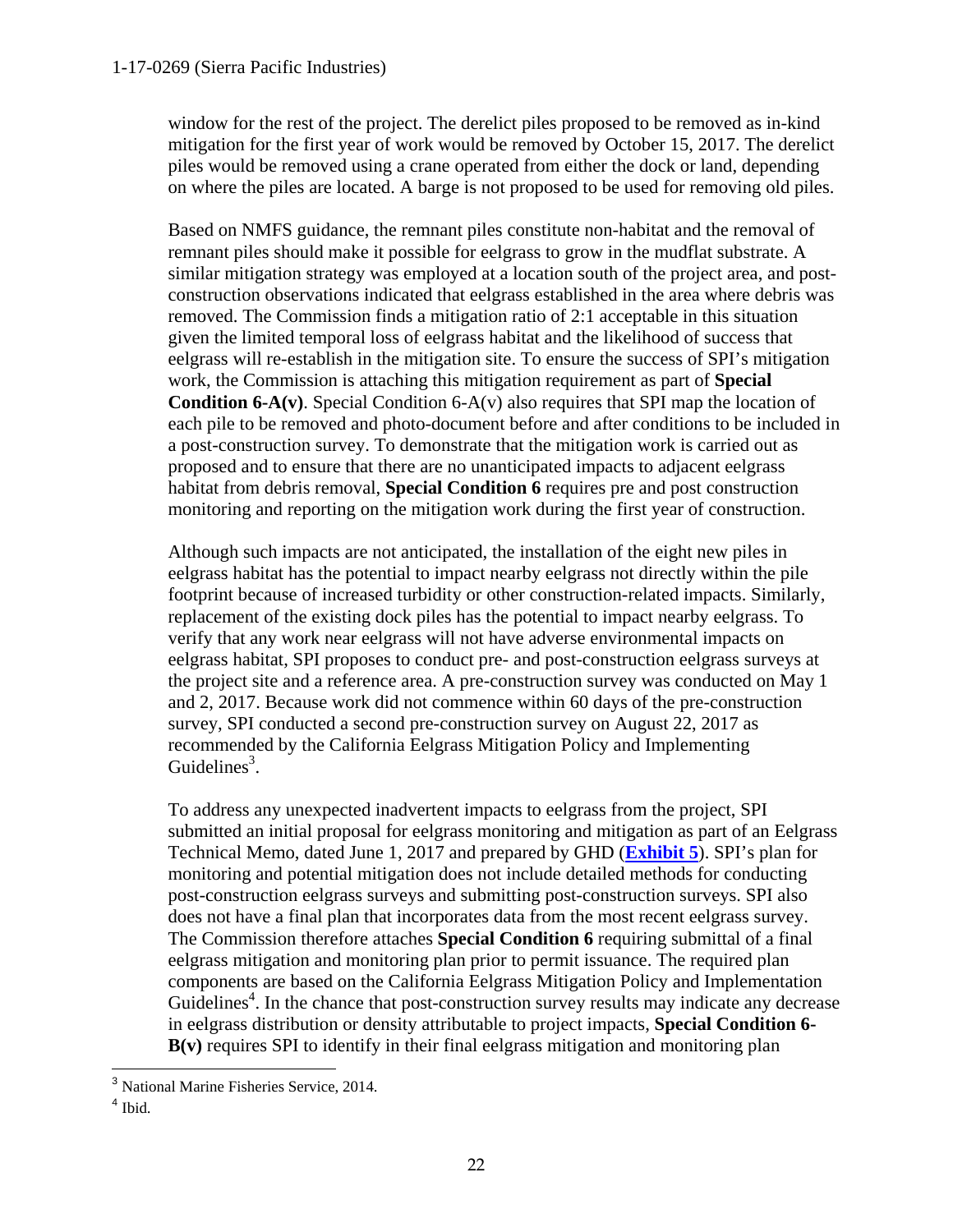window for the rest of the project. The derelict piles proposed to be removed as in-kind mitigation for the first year of work would be removed by October 15, 2017. The derelict piles would be removed using a crane operated from either the dock or land, depending on where the piles are located. A barge is not proposed to be used for removing old piles.

Based on NMFS guidance, the remnant piles constitute non-habitat and the removal of remnant piles should make it possible for eelgrass to grow in the mudflat substrate. A similar mitigation strategy was employed at a location south of the project area, and postconstruction observations indicated that eelgrass established in the area where debris was removed. The Commission finds a mitigation ratio of 2:1 acceptable in this situation given the limited temporal loss of eelgrass habitat and the likelihood of success that eelgrass will re-establish in the mitigation site. To ensure the success of SPI's mitigation work, the Commission is attaching this mitigation requirement as part of **Special Condition 6-A(v)**. Special Condition 6-A(v) also requires that SPI map the location of each pile to be removed and photo-document before and after conditions to be included in a post-construction survey. To demonstrate that the mitigation work is carried out as proposed and to ensure that there are no unanticipated impacts to adjacent eelgrass habitat from debris removal, **Special Condition 6** requires pre and post construction monitoring and reporting on the mitigation work during the first year of construction.

Although such impacts are not anticipated, the installation of the eight new piles in eelgrass habitat has the potential to impact nearby eelgrass not directly within the pile footprint because of increased turbidity or other construction-related impacts. Similarly, replacement of the existing dock piles has the potential to impact nearby eelgrass. To verify that any work near eelgrass will not have adverse environmental impacts on eelgrass habitat, SPI proposes to conduct pre- and post-construction eelgrass surveys at the project site and a reference area. A pre-construction survey was conducted on May 1 and 2, 2017. Because work did not commence within 60 days of the pre-construction survey, SPI conducted a second pre-construction survey on August 22, 2017 as recommended by the California Eelgrass Mitigation Policy and Implementing Guidelines<sup>3</sup>.

To address any unexpected inadvertent impacts to eelgrass from the project, SPI submitted an initial proposal for eelgrass monitoring and mitigation as part of an Eelgrass Technical Memo, dated June 1, 2017 and prepared by GHD (**[Exhibit 5](https://documents.coastal.ca.gov/reports/2017/9/w19c/w19c-9-2017-exhibits.pdf)**). SPI's plan for monitoring and potential mitigation does not include detailed methods for conducting post-construction eelgrass surveys and submitting post-construction surveys. SPI also does not have a final plan that incorporates data from the most recent eelgrass survey. The Commission therefore attaches **Special Condition 6** requiring submittal of a final eelgrass mitigation and monitoring plan prior to permit issuance. The required plan components are based on the California Eelgrass Mitigation Policy and Implementation Guidelines<sup>4</sup>. In the chance that post-construction survey results may indicate any decrease in eelgrass distribution or density attributable to project impacts, **Special Condition 6- B(v)** requires SPI to identify in their final eelgrass mitigation and monitoring plan

 $\overline{a}$ <sup>3</sup> National Marine Fisheries Service, 2014.

 $<sup>4</sup>$  Ibid.</sup>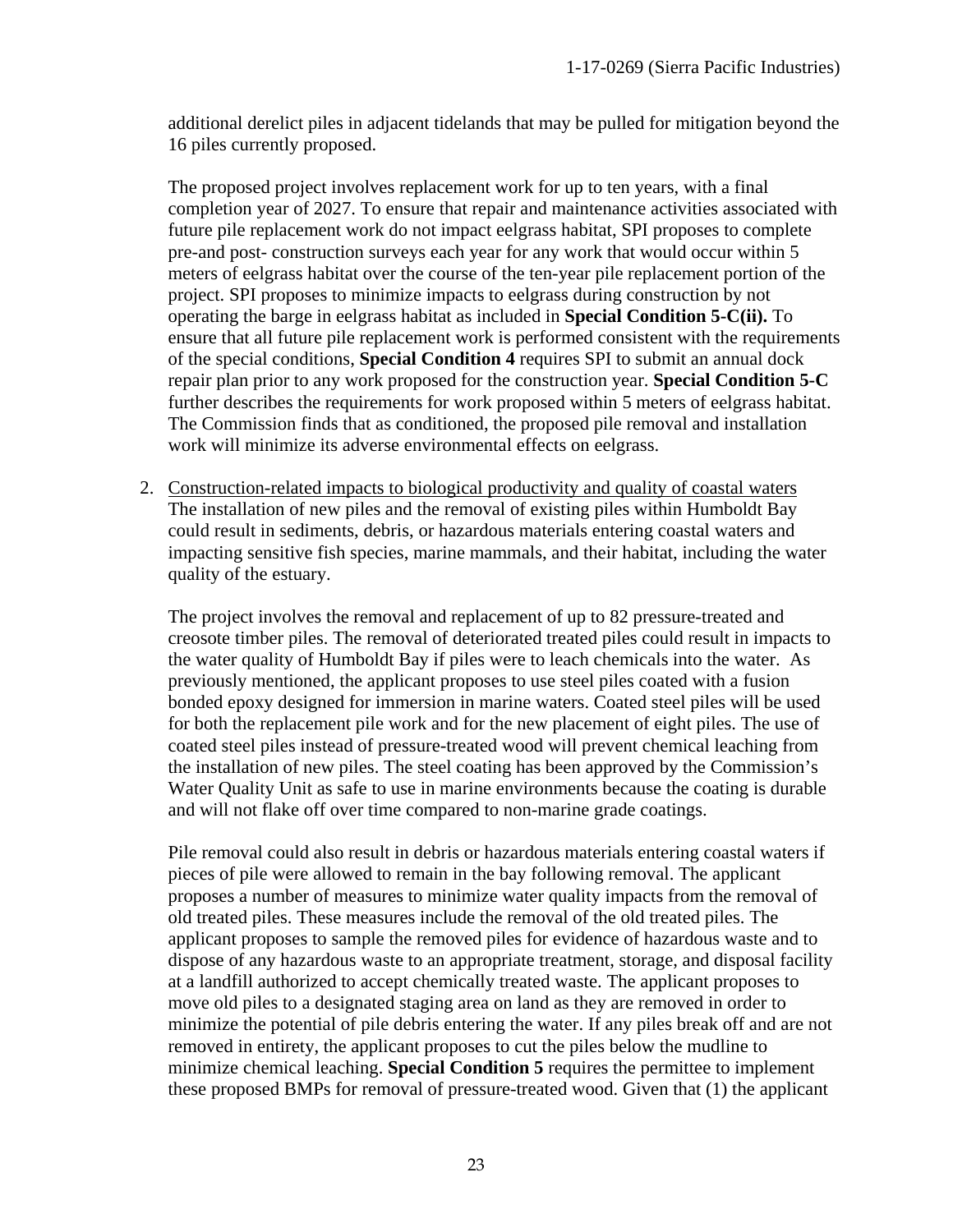additional derelict piles in adjacent tidelands that may be pulled for mitigation beyond the 16 piles currently proposed.

The proposed project involves replacement work for up to ten years, with a final completion year of 2027. To ensure that repair and maintenance activities associated with future pile replacement work do not impact eelgrass habitat, SPI proposes to complete pre-and post- construction surveys each year for any work that would occur within 5 meters of eelgrass habitat over the course of the ten-year pile replacement portion of the project. SPI proposes to minimize impacts to eelgrass during construction by not operating the barge in eelgrass habitat as included in **Special Condition 5-C(ii).** To ensure that all future pile replacement work is performed consistent with the requirements of the special conditions, **Special Condition 4** requires SPI to submit an annual dock repair plan prior to any work proposed for the construction year. **Special Condition 5-C** further describes the requirements for work proposed within 5 meters of eelgrass habitat. The Commission finds that as conditioned, the proposed pile removal and installation work will minimize its adverse environmental effects on eelgrass.

2. Construction-related impacts to biological productivity and quality of coastal waters The installation of new piles and the removal of existing piles within Humboldt Bay could result in sediments, debris, or hazardous materials entering coastal waters and impacting sensitive fish species, marine mammals, and their habitat, including the water quality of the estuary.

The project involves the removal and replacement of up to 82 pressure-treated and creosote timber piles. The removal of deteriorated treated piles could result in impacts to the water quality of Humboldt Bay if piles were to leach chemicals into the water. As previously mentioned, the applicant proposes to use steel piles coated with a fusion bonded epoxy designed for immersion in marine waters. Coated steel piles will be used for both the replacement pile work and for the new placement of eight piles. The use of coated steel piles instead of pressure-treated wood will prevent chemical leaching from the installation of new piles. The steel coating has been approved by the Commission's Water Quality Unit as safe to use in marine environments because the coating is durable and will not flake off over time compared to non-marine grade coatings.

Pile removal could also result in debris or hazardous materials entering coastal waters if pieces of pile were allowed to remain in the bay following removal. The applicant proposes a number of measures to minimize water quality impacts from the removal of old treated piles. These measures include the removal of the old treated piles. The applicant proposes to sample the removed piles for evidence of hazardous waste and to dispose of any hazardous waste to an appropriate treatment, storage, and disposal facility at a landfill authorized to accept chemically treated waste. The applicant proposes to move old piles to a designated staging area on land as they are removed in order to minimize the potential of pile debris entering the water. If any piles break off and are not removed in entirety, the applicant proposes to cut the piles below the mudline to minimize chemical leaching. **Special Condition 5** requires the permittee to implement these proposed BMPs for removal of pressure-treated wood. Given that (1) the applicant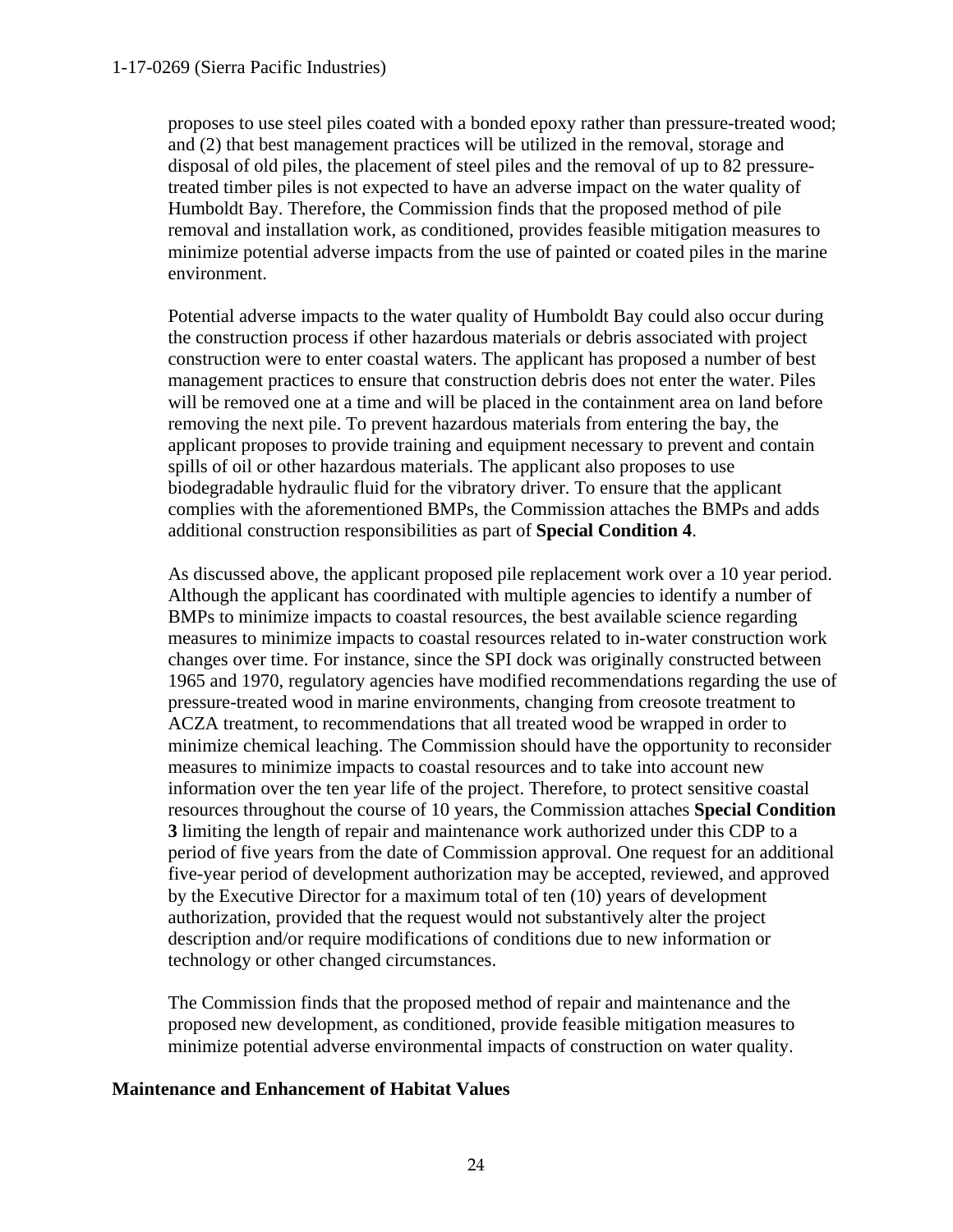#### 1-17-0269 (Sierra Pacific Industries)

proposes to use steel piles coated with a bonded epoxy rather than pressure-treated wood; and (2) that best management practices will be utilized in the removal, storage and disposal of old piles, the placement of steel piles and the removal of up to 82 pressuretreated timber piles is not expected to have an adverse impact on the water quality of Humboldt Bay. Therefore, the Commission finds that the proposed method of pile removal and installation work, as conditioned, provides feasible mitigation measures to minimize potential adverse impacts from the use of painted or coated piles in the marine environment.

Potential adverse impacts to the water quality of Humboldt Bay could also occur during the construction process if other hazardous materials or debris associated with project construction were to enter coastal waters. The applicant has proposed a number of best management practices to ensure that construction debris does not enter the water. Piles will be removed one at a time and will be placed in the containment area on land before removing the next pile. To prevent hazardous materials from entering the bay, the applicant proposes to provide training and equipment necessary to prevent and contain spills of oil or other hazardous materials. The applicant also proposes to use biodegradable hydraulic fluid for the vibratory driver. To ensure that the applicant complies with the aforementioned BMPs, the Commission attaches the BMPs and adds additional construction responsibilities as part of **Special Condition 4**.

As discussed above, the applicant proposed pile replacement work over a 10 year period. Although the applicant has coordinated with multiple agencies to identify a number of BMPs to minimize impacts to coastal resources, the best available science regarding measures to minimize impacts to coastal resources related to in-water construction work changes over time. For instance, since the SPI dock was originally constructed between 1965 and 1970, regulatory agencies have modified recommendations regarding the use of pressure-treated wood in marine environments, changing from creosote treatment to ACZA treatment, to recommendations that all treated wood be wrapped in order to minimize chemical leaching. The Commission should have the opportunity to reconsider measures to minimize impacts to coastal resources and to take into account new information over the ten year life of the project. Therefore, to protect sensitive coastal resources throughout the course of 10 years, the Commission attaches **Special Condition 3** limiting the length of repair and maintenance work authorized under this CDP to a period of five years from the date of Commission approval. One request for an additional five-year period of development authorization may be accepted, reviewed, and approved by the Executive Director for a maximum total of ten (10) years of development authorization, provided that the request would not substantively alter the project description and/or require modifications of conditions due to new information or technology or other changed circumstances.

The Commission finds that the proposed method of repair and maintenance and the proposed new development, as conditioned, provide feasible mitigation measures to minimize potential adverse environmental impacts of construction on water quality.

#### **Maintenance and Enhancement of Habitat Values**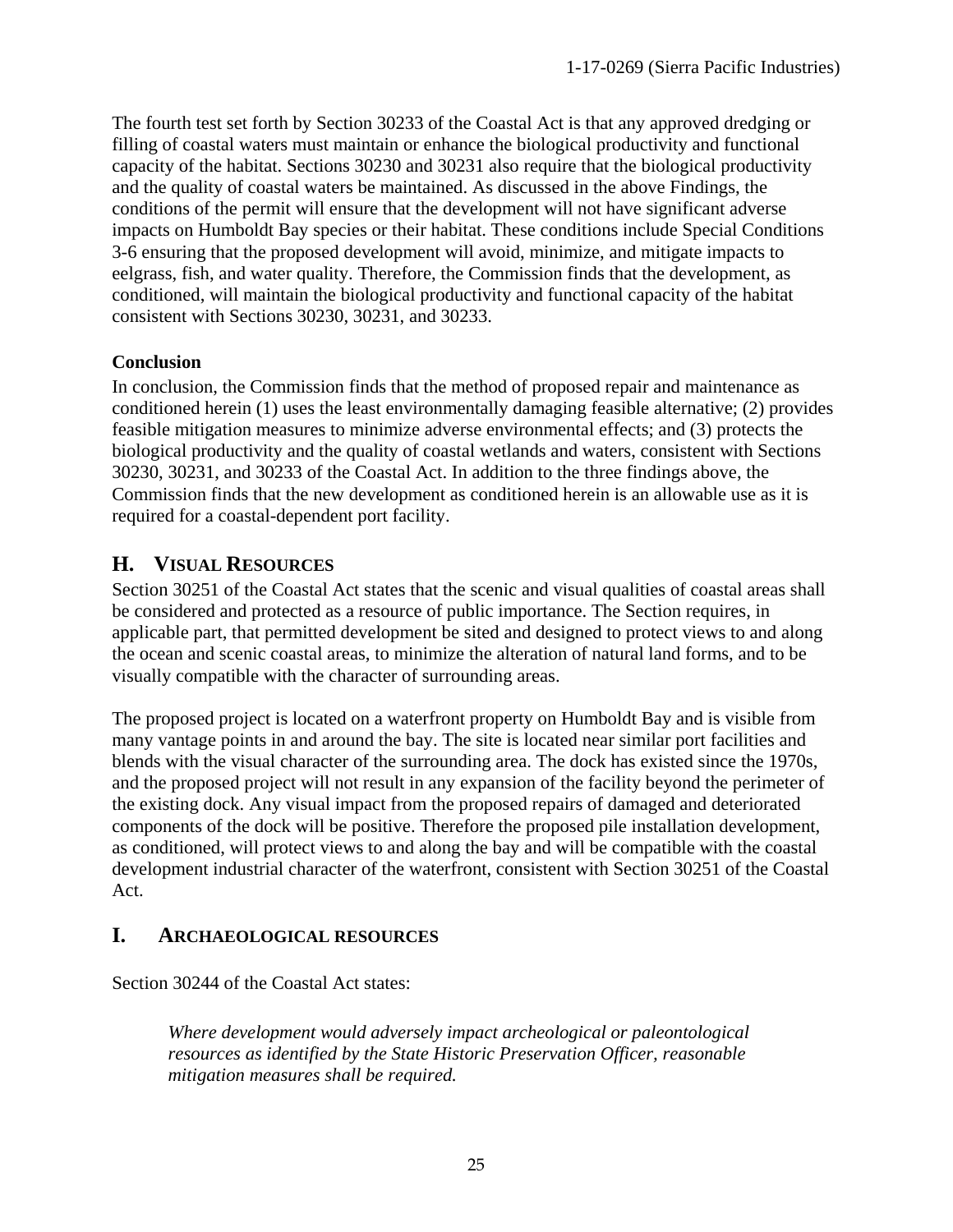The fourth test set forth by Section 30233 of the Coastal Act is that any approved dredging or filling of coastal waters must maintain or enhance the biological productivity and functional capacity of the habitat. Sections 30230 and 30231 also require that the biological productivity and the quality of coastal waters be maintained. As discussed in the above Findings, the conditions of the permit will ensure that the development will not have significant adverse impacts on Humboldt Bay species or their habitat. These conditions include Special Conditions 3-6 ensuring that the proposed development will avoid, minimize, and mitigate impacts to eelgrass, fish, and water quality. Therefore, the Commission finds that the development, as conditioned, will maintain the biological productivity and functional capacity of the habitat consistent with Sections 30230, 30231, and 30233.

#### **Conclusion**

In conclusion, the Commission finds that the method of proposed repair and maintenance as conditioned herein (1) uses the least environmentally damaging feasible alternative; (2) provides feasible mitigation measures to minimize adverse environmental effects; and (3) protects the biological productivity and the quality of coastal wetlands and waters, consistent with Sections 30230, 30231, and 30233 of the Coastal Act. In addition to the three findings above, the Commission finds that the new development as conditioned herein is an allowable use as it is required for a coastal-dependent port facility.

# <span id="page-24-0"></span>**H. VISUAL RESOURCES**

Section 30251 of the Coastal Act states that the scenic and visual qualities of coastal areas shall be considered and protected as a resource of public importance. The Section requires, in applicable part, that permitted development be sited and designed to protect views to and along the ocean and scenic coastal areas, to minimize the alteration of natural land forms, and to be visually compatible with the character of surrounding areas.

The proposed project is located on a waterfront property on Humboldt Bay and is visible from many vantage points in and around the bay. The site is located near similar port facilities and blends with the visual character of the surrounding area. The dock has existed since the 1970s, and the proposed project will not result in any expansion of the facility beyond the perimeter of the existing dock. Any visual impact from the proposed repairs of damaged and deteriorated components of the dock will be positive. Therefore the proposed pile installation development, as conditioned, will protect views to and along the bay and will be compatible with the coastal development industrial character of the waterfront, consistent with Section 30251 of the Coastal Act.

# <span id="page-24-1"></span>**I. ARCHAEOLOGICAL RESOURCES**

Section 30244 of the Coastal Act states:

 *Where development would adversely impact archeological or paleontological resources as identified by the State Historic Preservation Officer, reasonable mitigation measures shall be required.*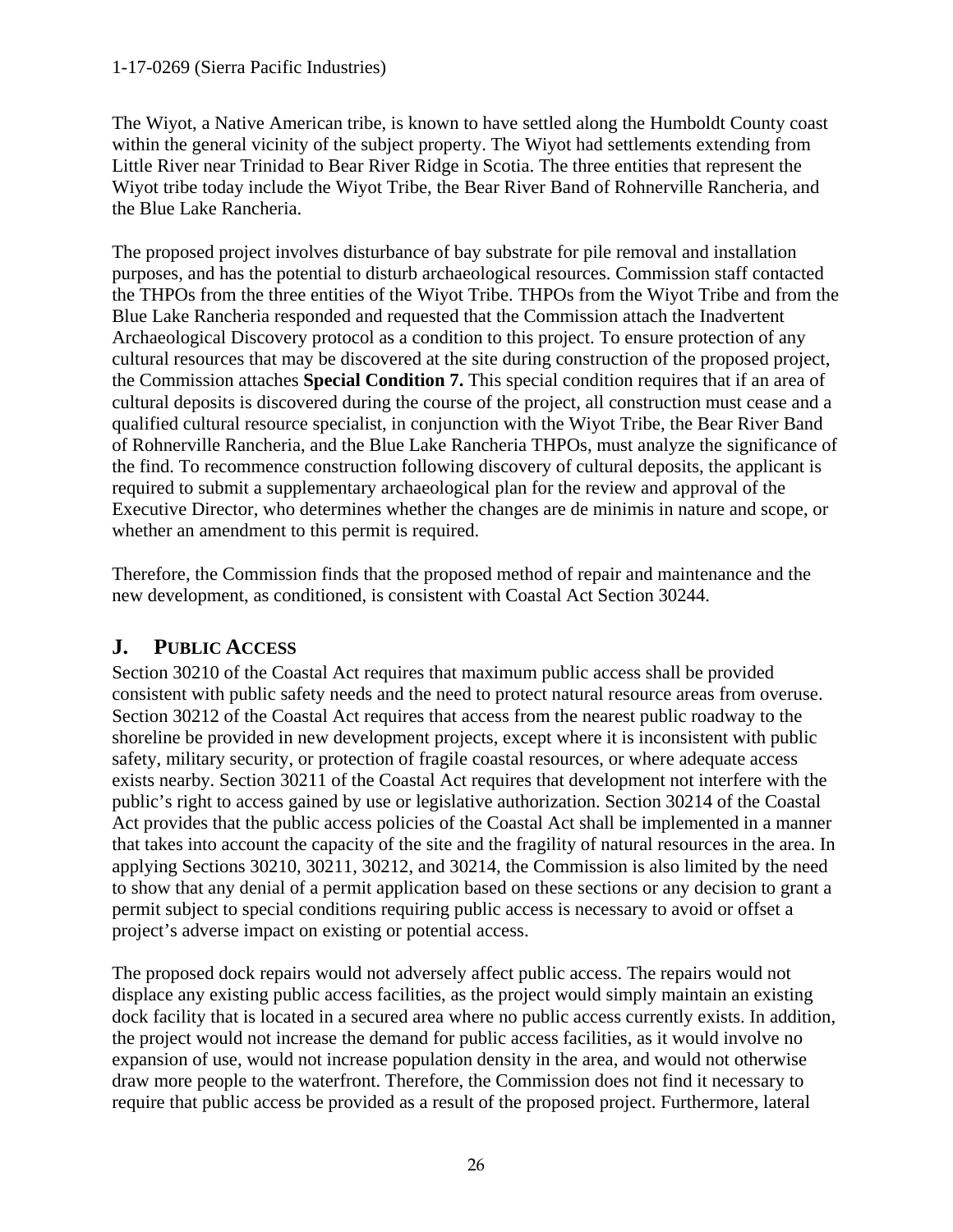#### 1-17-0269 (Sierra Pacific Industries)

The Wiyot, a Native American tribe, is known to have settled along the Humboldt County coast within the general vicinity of the subject property. The Wiyot had settlements extending from Little River near Trinidad to Bear River Ridge in Scotia. The three entities that represent the Wiyot tribe today include the Wiyot Tribe, the Bear River Band of Rohnerville Rancheria, and the Blue Lake Rancheria.

The proposed project involves disturbance of bay substrate for pile removal and installation purposes, and has the potential to disturb archaeological resources. Commission staff contacted the THPOs from the three entities of the Wiyot Tribe. THPOs from the Wiyot Tribe and from the Blue Lake Rancheria responded and requested that the Commission attach the Inadvertent Archaeological Discovery protocol as a condition to this project. To ensure protection of any cultural resources that may be discovered at the site during construction of the proposed project, the Commission attaches **Special Condition 7.** This special condition requires that if an area of cultural deposits is discovered during the course of the project, all construction must cease and a qualified cultural resource specialist, in conjunction with the Wiyot Tribe, the Bear River Band of Rohnerville Rancheria, and the Blue Lake Rancheria THPOs, must analyze the significance of the find. To recommence construction following discovery of cultural deposits, the applicant is required to submit a supplementary archaeological plan for the review and approval of the Executive Director, who determines whether the changes are de minimis in nature and scope, or whether an amendment to this permit is required.

Therefore, the Commission finds that the proposed method of repair and maintenance and the new development, as conditioned, is consistent with Coastal Act Section 30244.

### <span id="page-25-0"></span>**J. PUBLIC ACCESS**

Section 30210 of the Coastal Act requires that maximum public access shall be provided consistent with public safety needs and the need to protect natural resource areas from overuse. Section 30212 of the Coastal Act requires that access from the nearest public roadway to the shoreline be provided in new development projects, except where it is inconsistent with public safety, military security, or protection of fragile coastal resources, or where adequate access exists nearby. Section 30211 of the Coastal Act requires that development not interfere with the public's right to access gained by use or legislative authorization. Section 30214 of the Coastal Act provides that the public access policies of the Coastal Act shall be implemented in a manner that takes into account the capacity of the site and the fragility of natural resources in the area. In applying Sections 30210, 30211, 30212, and 30214, the Commission is also limited by the need to show that any denial of a permit application based on these sections or any decision to grant a permit subject to special conditions requiring public access is necessary to avoid or offset a project's adverse impact on existing or potential access.

The proposed dock repairs would not adversely affect public access. The repairs would not displace any existing public access facilities, as the project would simply maintain an existing dock facility that is located in a secured area where no public access currently exists. In addition, the project would not increase the demand for public access facilities, as it would involve no expansion of use, would not increase population density in the area, and would not otherwise draw more people to the waterfront. Therefore, the Commission does not find it necessary to require that public access be provided as a result of the proposed project. Furthermore, lateral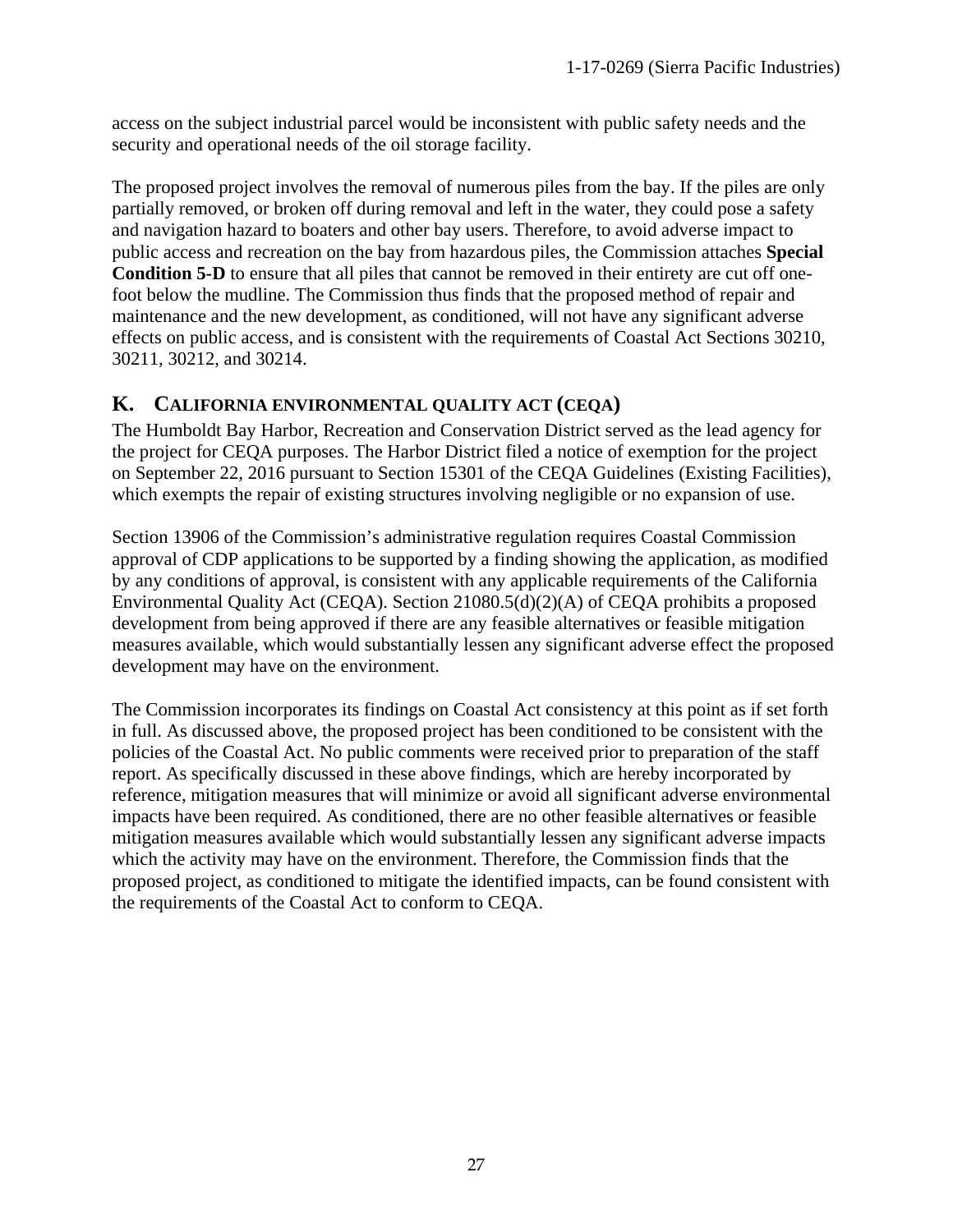access on the subject industrial parcel would be inconsistent with public safety needs and the security and operational needs of the oil storage facility.

The proposed project involves the removal of numerous piles from the bay. If the piles are only partially removed, or broken off during removal and left in the water, they could pose a safety and navigation hazard to boaters and other bay users. Therefore, to avoid adverse impact to public access and recreation on the bay from hazardous piles, the Commission attaches **Special Condition 5-D** to ensure that all piles that cannot be removed in their entirety are cut off onefoot below the mudline. The Commission thus finds that the proposed method of repair and maintenance and the new development, as conditioned, will not have any significant adverse effects on public access, and is consistent with the requirements of Coastal Act Sections 30210, 30211, 30212, and 30214.

# <span id="page-26-0"></span>**K. CALIFORNIA ENVIRONMENTAL QUALITY ACT (CEQA)**

The Humboldt Bay Harbor, Recreation and Conservation District served as the lead agency for the project for CEQA purposes. The Harbor District filed a notice of exemption for the project on September 22, 2016 pursuant to Section 15301 of the CEQA Guidelines (Existing Facilities), which exempts the repair of existing structures involving negligible or no expansion of use.

Section 13906 of the Commission's administrative regulation requires Coastal Commission approval of CDP applications to be supported by a finding showing the application, as modified by any conditions of approval, is consistent with any applicable requirements of the California Environmental Quality Act (CEQA). Section 21080.5(d)(2)(A) of CEQA prohibits a proposed development from being approved if there are any feasible alternatives or feasible mitigation measures available, which would substantially lessen any significant adverse effect the proposed development may have on the environment.

The Commission incorporates its findings on Coastal Act consistency at this point as if set forth in full. As discussed above, the proposed project has been conditioned to be consistent with the policies of the Coastal Act. No public comments were received prior to preparation of the staff report. As specifically discussed in these above findings, which are hereby incorporated by reference, mitigation measures that will minimize or avoid all significant adverse environmental impacts have been required. As conditioned, there are no other feasible alternatives or feasible mitigation measures available which would substantially lessen any significant adverse impacts which the activity may have on the environment. Therefore, the Commission finds that the proposed project, as conditioned to mitigate the identified impacts, can be found consistent with the requirements of the Coastal Act to conform to CEQA.